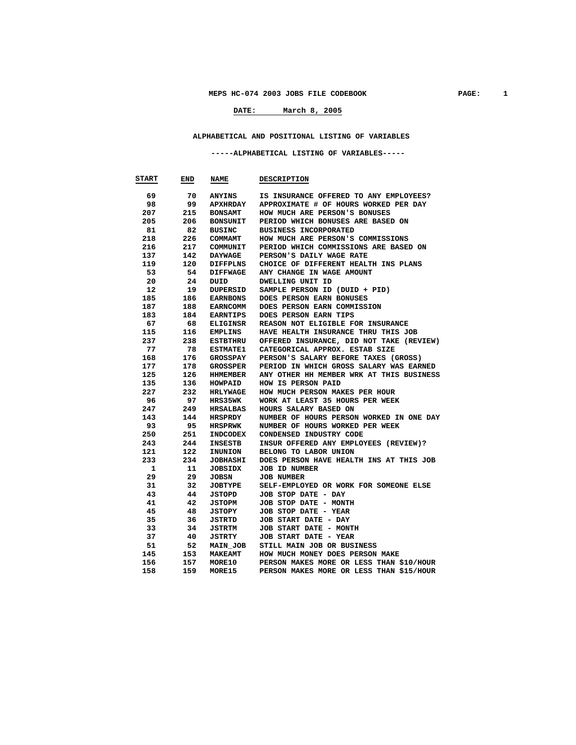# **DATE: March 8, 2005**

#### **ALPHABETICAL AND POSITIONAL LISTING OF VARIABLES**

#### **-----ALPHABETICAL LISTING OF VARIABLES-----**

| <b>START</b> | END | NAME            | <b>DESCRIPTION</b>                       |
|--------------|-----|-----------------|------------------------------------------|
|              |     |                 |                                          |
| 69           | 70  | <b>ANYINS</b>   | IS INSURANCE OFFERED TO ANY EMPLOYEES?   |
| 98           | 99  | APXHRDAY        | APPROXIMATE # OF HOURS WORKED PER DAY    |
| 207          | 215 | <b>BONSAMT</b>  | HOW MUCH ARE PERSON'S BONUSES            |
| 205          | 206 | <b>BONSUNIT</b> | PERIOD WHICH BONUSES ARE BASED ON        |
| 81           | 82  | <b>BUSINC</b>   | BUSINESS INCORPORATED                    |
| 218          | 226 | <b>COMMAMT</b>  | HOW MUCH ARE PERSON'S COMMISSIONS        |
| 216          | 217 | COMMUNIT        | PERIOD WHICH COMMISSIONS ARE BASED ON    |
| 137          | 142 | DAYWAGE         | PERSON'S DAILY WAGE RATE                 |
| 119          | 120 | DIFFPLNS        | CHOICE OF DIFFERENT HEALTH INS PLANS     |
| 53           | 54  | <b>DIFFWAGE</b> | ANY CHANGE IN WAGE AMOUNT                |
| 20           | 24  | DUID            | DWELLING UNIT ID                         |
| 12           | 19  | DUPERSID        | SAMPLE PERSON ID (DUID + PID)            |
| 185          | 186 | <b>EARNBONS</b> | DOES PERSON EARN BONUSES                 |
| 187          | 188 | <b>EARNCOMM</b> | DOES PERSON EARN COMMISSION              |
| 183          | 184 | EARNTIPS        | DOES PERSON EARN TIPS                    |
| 67           | 68  | <b>ELIGINSR</b> | REASON NOT ELIGIBLE FOR INSURANCE        |
| 115          | 116 | <b>EMPLINS</b>  | HAVE HEALTH INSURANCE THRU THIS JOB      |
| 237          | 238 | <b>ESTBTHRU</b> | OFFERED INSURANCE, DID NOT TAKE (REVIEW) |
| 77           | 78  | <b>ESTMATE1</b> | CATEGORICAL APPROX. ESTAB SIZE           |
| 168          | 176 | GROSSPAY        | PERSON'S SALARY BEFORE TAXES (GROSS)     |
| 177          | 178 | GROSSPER        | PERIOD IN WHICH GROSS SALARY WAS EARNED  |
| 125          | 126 | <b>HHMEMBER</b> | ANY OTHER HH MEMBER WRK AT THIS BUSINESS |
| 135          | 136 | HOWPAID         | HOW IS PERSON PAID                       |
| 227          | 232 | <b>HRLYWAGE</b> | HOW MUCH PERSON MAKES PER HOUR           |
| 96           | 97  | <b>HRS35WK</b>  | WORK AT LEAST 35 HOURS PER WEEK          |
| 247          | 249 | HRSALBAS        | HOURS SALARY BASED ON                    |
| 143          | 144 | HRSPRDY         | NUMBER OF HOURS PERSON WORKED IN ONE DAY |
| 93           | 95  | <b>HRSPRWK</b>  | NUMBER OF HOURS WORKED PER WEEK          |
| 250          | 251 | <b>INDCODEX</b> | CONDENSED INDUSTRY CODE                  |
| 243          | 244 | INSESTB         | INSUR OFFERED ANY EMPLOYEES (REVIEW)?    |
| 121          | 122 | <b>INUNION</b>  | BELONG TO LABOR UNION                    |
| 233          | 234 | <b>JOBHASHI</b> | DOES PERSON HAVE HEALTH INS AT THIS JOB  |
| 1            | 11  | JOBSIDX         | <b>JOB ID NUMBER</b>                     |
| 29           | 29  | JOBSN           | <b>JOB NUMBER</b>                        |
| 31           | 32  | JOBTYPE         | SELF-EMPLOYED OR WORK FOR SOMEONE ELSE   |
| 43           | 44  | JSTOPD          | JOB STOP DATE - DAY                      |
| 41           | 42  | JSTOPM          | JOB STOP DATE - MONTH                    |
| 45           | 48  | JSTOPY          | JOB STOP DATE - YEAR                     |
| 35           | 36  | JSTRTD          | JOB START DATE - DAY                     |
| 33           | 34  | JSTRTM          | JOB START DATE - MONTH                   |
| 37           | 40  | JSTRTY          | JOB START DATE - YEAR                    |
| 51           | 52  | <b>MAIN JOB</b> | STILL MAIN JOB OR BUSINESS               |
| 145          | 153 | <b>MAKEAMT</b>  | HOW MUCH MONEY DOES PERSON MAKE          |
| 156          | 157 | <b>MORE10</b>   | PERSON MAKES MORE OR LESS THAN \$10/HOUR |
| 158          | 159 | MORE15          | PERSON MAKES MORE OR LESS THAN \$15/HOUR |
|              |     |                 |                                          |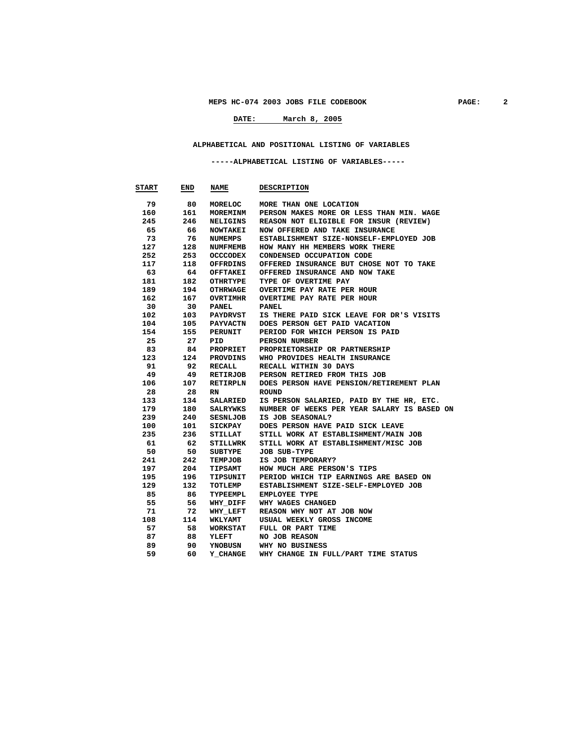# **DATE: March 8, 2005**

#### **ALPHABETICAL AND POSITIONAL LISTING OF VARIABLES**

#### **-----ALPHABETICAL LISTING OF VARIABLES-----**

| <b>START</b> | END | <b>NAME</b>     | <b>DESCRIPTION</b>                          |
|--------------|-----|-----------------|---------------------------------------------|
| 79           | 80  | MORELOC         | MORE THAN ONE LOCATION                      |
| 160          | 161 | MOREMINM        | PERSON MAKES MORE OR LESS THAN MIN. WAGE    |
| 245          | 246 | NELIGINS        | REASON NOT ELIGIBLE FOR INSUR (REVIEW)      |
| 65           | 66  | <b>NOWTAKEI</b> | NOW OFFERED AND TAKE INSURANCE              |
| 73           | 76  | NUMEMPS         | ESTABLISHMENT SIZE-NONSELF-EMPLOYED JOB     |
| 127          | 128 | <b>NUMFMEMB</b> | HOW MANY HH MEMBERS WORK THERE              |
| 252          | 253 | <b>OCCCODEX</b> | CONDENSED OCCUPATION CODE                   |
| 117          | 118 | OFFRDINS        | OFFERED INSURANCE BUT CHOSE NOT TO TAKE     |
| 63           | 64  | OFFTAKEI        | OFFERED INSURANCE AND NOW TAKE              |
| 181          | 182 | OTHRTYPE        | TYPE OF OVERTIME PAY                        |
| 189          | 194 | OTHRWAGE        | OVERTIME PAY RATE PER HOUR                  |
| 162          | 167 | OVRTIMHR        | OVERTIME PAY RATE PER HOUR                  |
| 30           | 30  | <b>PANEL</b>    | <b>PANEL</b>                                |
| 102          | 103 | PAYDRVST        | IS THERE PAID SICK LEAVE FOR DR'S VISITS    |
| 104          | 105 | <b>PAYVACTN</b> | DOES PERSON GET PAID VACATION               |
| 154          | 155 | PERUNIT         | PERIOD FOR WHICH PERSON IS PAID             |
| 25           | 27  | PID             | PERSON NUMBER                               |
| 83           | 84  | PROPRIET        | PROPRIETORSHIP OR PARTNERSHIP               |
| 123          | 124 | PROVDINS        | WHO PROVIDES HEALTH INSURANCE               |
| 91           | 92  | RECALL          | RECALL WITHIN 30 DAYS                       |
| 49           | 49  | RETIRJOB        | PERSON RETIRED FROM THIS JOB                |
| 106          | 107 | RETIRPLN        | DOES PERSON HAVE PENSION/RETIREMENT PLAN    |
| 28           | 28  | RN.             | <b>ROUND</b>                                |
| 133          | 134 | SALARIED        | IS PERSON SALARIED, PAID BY THE HR, ETC.    |
| 179          | 180 | SALRYWKS        | NUMBER OF WEEKS PER YEAR SALARY IS BASED ON |
| 239          | 240 | SESNLJOB        | IS JOB SEASONAL?                            |
| 100          | 101 | SICKPAY         | DOES PERSON HAVE PAID SICK LEAVE            |
| 235          | 236 | STILLAT         | STILL WORK AT ESTABLISHMENT/MAIN JOB        |
| 61           | 62  | STILLWRK        | STILL WORK AT ESTABLISHMENT/MISC JOB        |
| 50           | 50  | SUBTYPE         | JOB SUB-TYPE                                |
| 241          | 242 | TEMPJOB         | IS JOB TEMPORARY?                           |
| 197          | 204 | <b>TIPSAMT</b>  | HOW MUCH ARE PERSON'S TIPS                  |
| 195          | 196 | TIPSUNIT        | PERIOD WHICH TIP EARNINGS ARE BASED ON      |
| 129          | 132 | TOTLEMP         | ESTABLISHMENT SIZE-SELF-EMPLOYED JOB        |
| 85           | 86  | TYPEEMPL        | <b>EMPLOYEE TYPE</b>                        |
| 55           | 56  | WHY DIFF        | WHY WAGES CHANGED                           |
| 71           | 72  | WHY LEFT        | REASON WHY NOT AT JOB NOW                   |
| 108          | 114 | <b>WKLYAMT</b>  | USUAL WEEKLY GROSS INCOME                   |
| 57           | 58  | WORKSTAT        | FULL OR PART TIME                           |
| 87           | 88  | <b>YLEFT</b>    | NO JOB REASON                               |
| 89           | 90  | YNOBUSN         | WHY NO BUSINESS                             |
| 59           | 60  | Y CHANGE        | WHY CHANGE IN FULL/PART TIME STATUS         |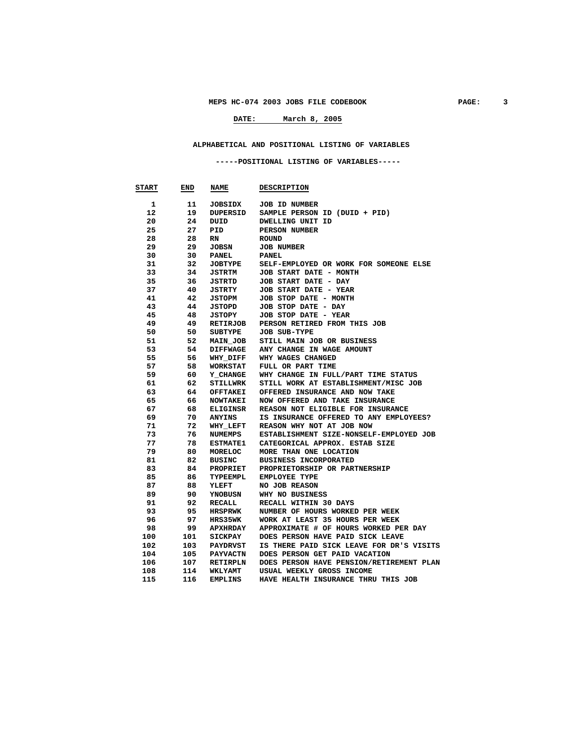# **DATE: March 8, 2005**

#### **ALPHABETICAL AND POSITIONAL LISTING OF VARIABLES**

#### **-----POSITIONAL LISTING OF VARIABLES-----**

| <b>START</b> | END | <b>NAME</b>     | <b>DESCRIPTION</b>                       |
|--------------|-----|-----------------|------------------------------------------|
| 1            | 11  | JOBSIDX         | <b>JOB ID NUMBER</b>                     |
| 12           | 19  | DUPERSID        | SAMPLE PERSON ID (DUID + PID)            |
| 20           | 24  | DUID            | DWELLING UNIT ID                         |
| 25           | 27  | PID             | PERSON NUMBER                            |
| 28           | 28  | RN              | <b>ROUND</b>                             |
| 29           | 29  | JOBSN           | <b>JOB NUMBER</b>                        |
| 30           | 30  | PANEL           | <b>PANEL</b>                             |
| 31           | 32  | <b>JOBTYPE</b>  | SELF-EMPLOYED OR WORK FOR SOMEONE ELSE   |
| 33           | 34  | JSTRTM          | JOB START DATE - MONTH                   |
| 35           | 36  | JSTRTD          | JOB START DATE - DAY                     |
| 37           | 40  | JSTRTY          | JOB START DATE - YEAR                    |
| 41           | 42  | JSTOPM          | JOB STOP DATE - MONTH                    |
| 43           | 44  | JSTOPD          | JOB STOP DATE - DAY                      |
| 45           | 48  | JSTOPY          | JOB STOP DATE - YEAR                     |
| 49           | 49  | <b>RETIRJOB</b> | PERSON RETIRED FROM THIS JOB             |
| 50           | 50  | SUBTYPE         | <b>JOB SUB-TYPE</b>                      |
| 51           | 52  | <b>MAIN JOB</b> | STILL MAIN JOB OR BUSINESS               |
| 53           | 54  | <b>DIFFWAGE</b> | ANY CHANGE IN WAGE AMOUNT                |
| 55           | 56  | WHY_DIFF        | WHY WAGES CHANGED                        |
| 57           | 58  | <b>WORKSTAT</b> | FULL OR PART TIME                        |
| 59           | 60  | Y CHANGE        | WHY CHANGE IN FULL/PART TIME STATUS      |
| 61           | 62  | <b>STILLWRK</b> | STILL WORK AT ESTABLISHMENT/MISC JOB     |
| 63           | 64  | OFFTAKEI        | OFFERED INSURANCE AND NOW TAKE           |
| 65           | 66  | <b>NOWTAKEI</b> | NOW OFFERED AND TAKE INSURANCE           |
| 67           | 68  | ELIGINSR        | REASON NOT ELIGIBLE FOR INSURANCE        |
| 69           | 70  | <b>ANYINS</b>   | IS INSURANCE OFFERED TO ANY EMPLOYEES?   |
| 71           | 72  | <b>WHY LEFT</b> | REASON WHY NOT AT JOB NOW                |
| 73           | 76  | NUMEMPS         | ESTABLISHMENT SIZE-NONSELF-EMPLOYED JOB  |
| 77           | 78  | <b>ESTMATE1</b> | CATEGORICAL APPROX. ESTAB SIZE           |
| 79           | 80  | MORELOC         | MORE THAN ONE LOCATION                   |
| 81           | 82  | <b>BUSINC</b>   | <b>BUSINESS INCORPORATED</b>             |
| 83           | 84  | PROPRIET        | PROPRIETORSHIP OR PARTNERSHIP            |
| 85           | 86  | TYPEEMPL        | <b>EMPLOYEE TYPE</b>                     |
| 87           | 88  | YLEFT           | NO JOB REASON                            |
| 89           | 90  | YNOBUSN         | WHY NO BUSINESS                          |
| 91           | 92  | RECALL          | RECALL WITHIN 30 DAYS                    |
| 93           | 95  | <b>HRSPRWK</b>  | NUMBER OF HOURS WORKED PER WEEK          |
| 96           | 97  | <b>HRS35WK</b>  | WORK AT LEAST 35 HOURS PER WEEK          |
| 98           | 99  | APXIIRDAY       | APPROXIMATE # OF HOURS WORKED PER DAY    |
| 100          | 101 | SICKPAY         | DOES PERSON HAVE PAID SICK LEAVE         |
| 102          | 103 | PAYDRVST        | IS THERE PAID SICK LEAVE FOR DR'S VISITS |
| 104          | 105 | PAYVACTN        | DOES PERSON GET PAID VACATION            |
| 106          | 107 | <b>RETIRPLN</b> | DOES PERSON HAVE PENSION/RETIREMENT PLAN |
| 108          | 114 | <b>WKLYAMT</b>  | USUAL WEEKLY GROSS INCOME                |
| 115          | 116 | <b>EMPLINS</b>  | HAVE HEALTH INSURANCE THRU THIS JOB      |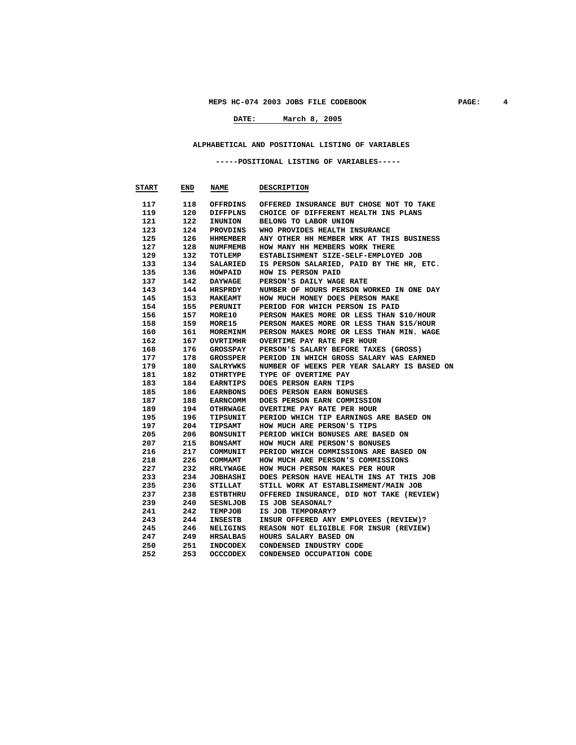# **DATE: March 8, 2005**

#### **ALPHABETICAL AND POSITIONAL LISTING OF VARIABLES**

#### **-----POSITIONAL LISTING OF VARIABLES-----**

| <b>START</b> | END | <b>NAME</b>     | <b>DESCRIPTION</b>                          |
|--------------|-----|-----------------|---------------------------------------------|
| 117          | 118 | OFFRDINS        | OFFERED INSURANCE BUT CHOSE NOT TO TAKE     |
| 119          | 120 | DIFFPLNS        | CHOICE OF DIFFERENT HEALTH INS PLANS        |
| 121          | 122 | <b>INUNION</b>  | BELONG TO LABOR UNION                       |
| 123          | 124 | PROVDINS        | WHO PROVIDES HEALTH INSURANCE               |
| 125          | 126 | HHMEMBER        | ANY OTHER HH MEMBER WRK AT THIS BUSINESS    |
| 127          | 128 | NUMFMEMB        | HOW MANY HH MEMBERS WORK THERE              |
| 129          | 132 | TOTLEMP         | ESTABLISHMENT SIZE-SELF-EMPLOYED JOB        |
| 133          | 134 | SALARIED        | IS PERSON SALARIED, PAID BY THE HR, ETC.    |
| 135          | 136 | <b>HOWPAID</b>  | HOW IS PERSON PAID                          |
| 137          | 142 | <b>DAYWAGE</b>  | PERSON'S DAILY WAGE RATE                    |
| 143          | 144 | HRSPRDY         | NUMBER OF HOURS PERSON WORKED IN ONE DAY    |
| 145          | 153 | <b>MAKEAMT</b>  | HOW MUCH MONEY DOES PERSON MAKE             |
| 154          | 155 | PERUNIT         | PERIOD FOR WHICH PERSON IS PAID             |
| 156          | 157 | <b>MORE10</b>   | PERSON MAKES MORE OR LESS THAN \$10/HOUR    |
| 158          | 159 | MORE15          | PERSON MAKES MORE OR LESS THAN \$15/HOUR    |
| 160          | 161 | <b>MOREMINM</b> | PERSON MAKES MORE OR LESS THAN MIN. WAGE    |
| 162          | 167 | <b>OVRTIMHR</b> | OVERTIME PAY RATE PER HOUR                  |
| 168          | 176 | GROSSPAY        | PERSON'S SALARY BEFORE TAXES (GROSS)        |
| 177          | 178 | GROSSPER        | PERIOD IN WHICH GROSS SALARY WAS EARNED     |
| 179          | 180 | SALRYWKS        | NUMBER OF WEEKS PER YEAR SALARY IS BASED ON |
| 181          | 182 | OTHRTYPE        | TYPE OF OVERTIME PAY                        |
| 183          | 184 | <b>EARNTIPS</b> | DOES PERSON EARN TIPS                       |
| 185          | 186 | <b>EARNBONS</b> | DOES PERSON EARN BONUSES                    |
| 187          | 188 | <b>EARNCOMM</b> | DOES PERSON EARN COMMISSION                 |
| 189          | 194 | OTHRWAGE        | OVERTIME PAY RATE PER HOUR                  |
| 195          | 196 | TIPSUNIT        | PERIOD WHICH TIP EARNINGS ARE BASED ON      |
| 197          | 204 | <b>TIPSAMT</b>  | HOW MUCH ARE PERSON'S TIPS                  |
| 205          | 206 | <b>BONSUNIT</b> | PERIOD WHICH BONUSES ARE BASED ON           |
| 207          | 215 | <b>BONSAMT</b>  | HOW MUCH ARE PERSON'S BONUSES               |
| 216          | 217 | <b>COMMUNIT</b> | PERIOD WHICH COMMISSIONS ARE BASED ON       |
| 218          | 226 | <b>COMMAMT</b>  | HOW MUCH ARE PERSON'S COMMISSIONS           |
| 227          | 232 | <b>HRLYWAGE</b> | HOW MUCH PERSON MAKES PER HOUR              |
| 233          | 234 | <b>JOBHASHI</b> | DOES PERSON HAVE HEALTH INS AT THIS JOB     |
| 235          | 236 | STILLAT         | STILL WORK AT ESTABLISHMENT/MAIN JOB        |
| 237          | 238 | ESTBTHRU        | OFFERED INSURANCE, DID NOT TAKE (REVIEW)    |
| 239          | 240 | <b>SESNLJOB</b> | IS JOB SEASONAL?                            |
| 241          | 242 | <b>TEMPJOB</b>  | IS JOB TEMPORARY?                           |
| 243          | 244 | INSESTB         | INSUR OFFERED ANY EMPLOYEES (REVIEW)?       |
| 245          | 246 | <b>NELIGINS</b> | REASON NOT ELIGIBLE FOR INSUR (REVIEW)      |
| 247          | 249 | HRSALBAS        | HOURS SALARY BASED ON                       |
| 250          | 251 | <b>INDCODEX</b> | CONDENSED INDUSTRY CODE                     |
| 252          | 253 | <b>OCCCODEX</b> | CONDENSED OCCUPATION CODE                   |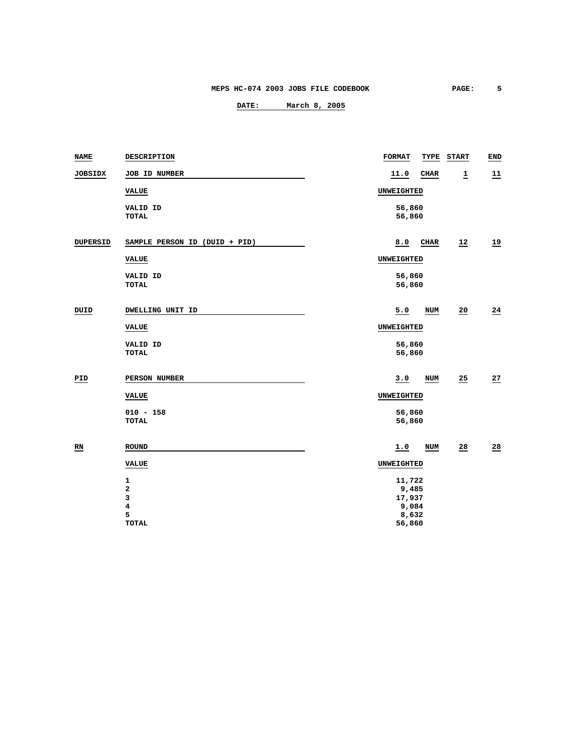| <b>NAME</b>     | DESCRIPTION                    | <b>FORMAT</b>     | TYPE                                                  | <b>START</b>    | END             |
|-----------------|--------------------------------|-------------------|-------------------------------------------------------|-----------------|-----------------|
| JOBSIDX         | JOB ID NUMBER                  | 11.0              | <b>CHAR</b>                                           | $\overline{1}$  | 11              |
|                 | VALUE                          | UNWEIGHTED        |                                                       |                 |                 |
|                 | VALID ID<br><b>TOTAL</b>       |                   | 56,860<br>56,860                                      |                 |                 |
| DUPERSID        | SAMPLE PERSON ID (DUID + PID)  | 8.0               | CHAR                                                  | 12              | $\overline{19}$ |
|                 | VALUE                          | UNWEIGHTED        |                                                       |                 |                 |
|                 | VALID ID<br>TOTAL              |                   | 56,860<br>56,860                                      |                 |                 |
| DUID            | DWELLING UNIT ID               | 5.0               | NUM                                                   | 20              | $\overline{24}$ |
|                 | <b>VALUE</b>                   | UNWEIGHTED        |                                                       |                 |                 |
|                 | VALID ID<br><b>TOTAL</b>       |                   | 56,860<br>56,860                                      |                 |                 |
| PID             | PERSON NUMBER                  | 3.0               | NUM                                                   | 25              | 27              |
|                 | <b>VALUE</b>                   | <b>UNWEIGHTED</b> |                                                       |                 |                 |
|                 | $010 - 158$<br>TOTAL           |                   | 56,860<br>56,860                                      |                 |                 |
| $\overline{RN}$ | <b>ROUND</b>                   | 1.0               | NUM                                                   | $\overline{28}$ | $\frac{28}{1}$  |
|                 | <b>VALUE</b>                   | UNWEIGHTED        |                                                       |                 |                 |
|                 | 1<br>2<br>3<br>4<br>5<br>TOTAL |                   | 11,722<br>9,485<br>17,937<br>9,084<br>8,632<br>56,860 |                 |                 |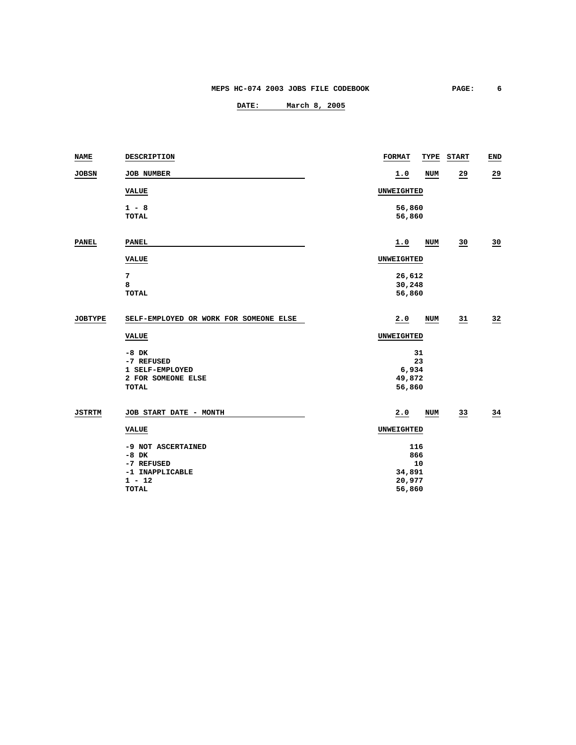| <b>NAME</b>    | DESCRIPTION                            | <b>FORMAT</b>    | TYPE | <b>START</b>    | END            |
|----------------|----------------------------------------|------------------|------|-----------------|----------------|
| <b>JOBSN</b>   | JOB NUMBER                             | 1.0              | NUM  | $\overline{29}$ | $\frac{29}{2}$ |
|                | <b>VALUE</b>                           | UNWEIGHTED       |      |                 |                |
|                | $1 - 8$                                | 56,860           |      |                 |                |
|                | <b>TOTAL</b>                           | 56,860           |      |                 |                |
| <b>PANEL</b>   | <b>PANEL</b>                           | 1.0              | NUM  | 30              | 30             |
|                | <b>VALUE</b>                           | UNWEIGHTED       |      |                 |                |
|                | 7                                      | 26,612           |      |                 |                |
|                | 8<br><b>TOTAL</b>                      | 30,248<br>56,860 |      |                 |                |
|                |                                        |                  |      |                 |                |
| <b>JOBTYPE</b> | SELF-EMPLOYED OR WORK FOR SOMEONE ELSE | 2.0              | NUM  | 31              | 32             |
|                | <b>VALUE</b>                           | UNWEIGHTED       |      |                 |                |
|                | $-8$ DK                                | 31               |      |                 |                |
|                | -7 REFUSED                             | 23               |      |                 |                |
|                | 1 SELF-EMPLOYED<br>2 FOR SOMEONE ELSE  | 6,934<br>49,872  |      |                 |                |
|                | <b>TOTAL</b>                           | 56,860           |      |                 |                |
| <b>JSTRTM</b>  | JOB START DATE - MONTH                 | 2.0              | NUM  | $\overline{33}$ | $\frac{34}{5}$ |
|                | <b>VALUE</b>                           | UNWEIGHTED       |      |                 |                |
|                | -9 NOT ASCERTAINED                     | 116              |      |                 |                |
|                | $-8$ DK                                | 866              |      |                 |                |
|                | -7 REFUSED                             | 10               |      |                 |                |
|                | -1 INAPPLICABLE                        | 34,891           |      |                 |                |
|                | $1 - 12$<br><b>TOTAL</b>               | 20,977<br>56,860 |      |                 |                |
|                |                                        |                  |      |                 |                |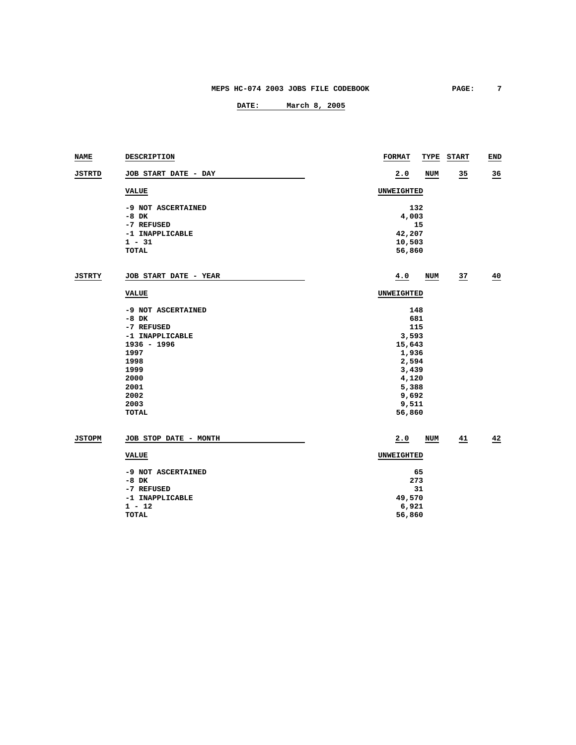| <b>NAME</b>   | DESCRIPTION           | <b>FORMAT</b><br>TYPE | <b>START</b>    | <b>END</b>      |
|---------------|-----------------------|-----------------------|-----------------|-----------------|
| <b>JSTRTD</b> | JOB START DATE - DAY  | 2.0<br>NUM            | $\overline{35}$ | $\overline{36}$ |
|               | <b>VALUE</b>          | UNWEIGHTED            |                 |                 |
|               | -9 NOT ASCERTAINED    | 132                   |                 |                 |
|               | $-8$ DK               | 4,003                 |                 |                 |
|               | -7 REFUSED            | 15                    |                 |                 |
|               | -1 INAPPLICABLE       | 42,207                |                 |                 |
|               | $1 - 31$              | 10,503                |                 |                 |
|               | <b>TOTAL</b>          | 56,860                |                 |                 |
| <b>JSTRTY</b> | JOB START DATE - YEAR | 4.0<br>NUM            | $\overline{27}$ | 40              |
|               | <b>VALUE</b>          | UNWEIGHTED            |                 |                 |
|               | -9 NOT ASCERTAINED    | 148                   |                 |                 |
|               | $-8$ DK               | 681                   |                 |                 |
|               | -7 REFUSED            | 115                   |                 |                 |
|               | -1 INAPPLICABLE       | 3,593                 |                 |                 |
|               | $1936 - 1996$         | 15,643                |                 |                 |
|               | 1997                  | 1,936                 |                 |                 |
|               | 1998                  | 2,594                 |                 |                 |
|               | 1999                  | 3,439                 |                 |                 |
|               | 2000                  | 4,120                 |                 |                 |
|               | 2001                  | 5,388                 |                 |                 |
|               | 2002                  | 9,692                 |                 |                 |
|               | 2003                  | 9,511                 |                 |                 |
|               | TOTAL                 | 56,860                |                 |                 |
| <b>JSTOPM</b> | JOB STOP DATE - MONTH | 2.0<br>NUM            | 41              | 42              |
|               | <b>VALUE</b>          | UNWEIGHTED            |                 |                 |
|               | -9 NOT ASCERTAINED    | 65                    |                 |                 |
|               | $-8$ DK               | 273                   |                 |                 |
|               | -7 REFUSED            | 31                    |                 |                 |
|               | -1 INAPPLICABLE       | 49,570                |                 |                 |
|               | $1 - 12$              | 6,921                 |                 |                 |
|               | <b>TOTAL</b>          | 56,860                |                 |                 |
|               |                       |                       |                 |                 |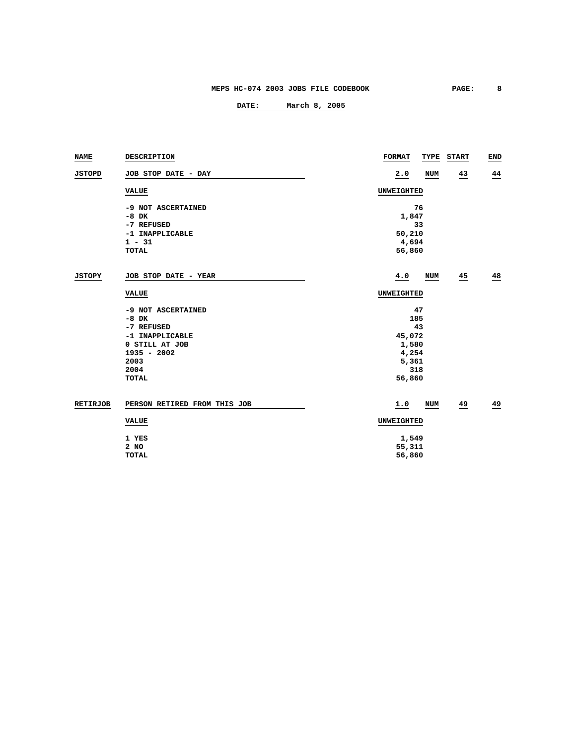| NAME            | DESCRIPTION                  | <b>FORMAT</b><br>TYPE | <b>START</b>    | END |
|-----------------|------------------------------|-----------------------|-----------------|-----|
| <b>JSTOPD</b>   | JOB STOP DATE - DAY          | 2.0<br>NUM            | $\overline{43}$ | 44  |
|                 | <b>VALUE</b>                 | UNWEIGHTED            |                 |     |
|                 | -9 NOT ASCERTAINED           | 76                    |                 |     |
|                 | $-8$ DK                      | 1,847                 |                 |     |
|                 | -7 REFUSED                   | 33                    |                 |     |
|                 | -1 INAPPLICABLE              | 50,210                |                 |     |
|                 | $1 - 31$                     | 4,694                 |                 |     |
|                 | <b>TOTAL</b>                 | 56,860                |                 |     |
| JSTOPY          | JOB STOP DATE - YEAR         | 4.0<br>NUM            | $\overline{45}$ | 48  |
|                 | <b>VALUE</b>                 | UNWEIGHTED            |                 |     |
|                 | -9 NOT ASCERTAINED           | 47                    |                 |     |
|                 | $-8$ DK                      | 185                   |                 |     |
|                 | -7 REFUSED                   | 43                    |                 |     |
|                 | -1 INAPPLICABLE              | 45,072                |                 |     |
|                 | 0 STILL AT JOB               | 1,580                 |                 |     |
|                 | $1935 - 2002$                | 4,254                 |                 |     |
|                 | 2003                         | 5,361                 |                 |     |
|                 | 2004                         | 318                   |                 |     |
|                 | <b>TOTAL</b>                 | 56,860                |                 |     |
| <b>RETIRJOB</b> | PERSON RETIRED FROM THIS JOB | 1.0<br>NUM            | 49              | 49  |
|                 | <b>VALUE</b>                 | UNWEIGHTED            |                 |     |
|                 | 1 YES                        | 1,549                 |                 |     |
|                 | 2 NO                         | 55,311                |                 |     |
|                 | <b>TOTAL</b>                 | 56,860                |                 |     |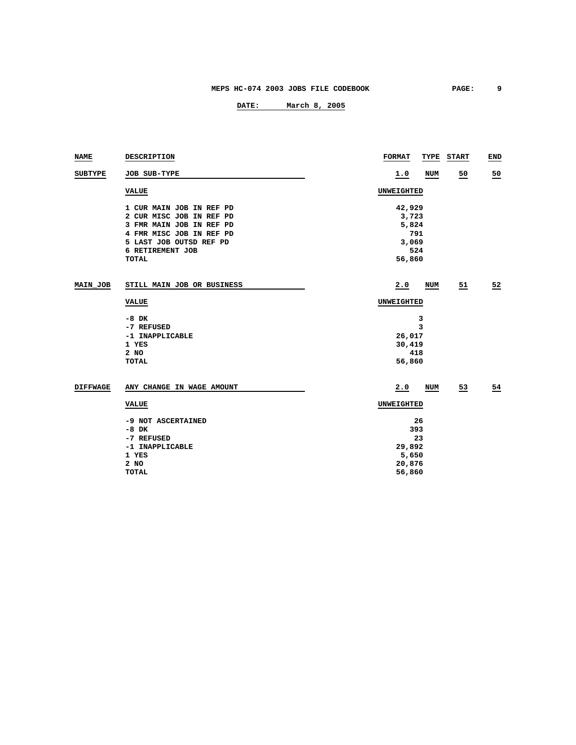| NAME            | DESCRIPTION                | <b>FORMAT</b> |     | TYPE START | END            |
|-----------------|----------------------------|---------------|-----|------------|----------------|
| <b>SUBTYPE</b>  | JOB SUB-TYPE               | 1.0           | NUM | 50         | 50             |
|                 | <b>VALUE</b>               | UNWEIGHTED    |     |            |                |
|                 | 1 CUR MAIN JOB IN REF PD   | 42,929        |     |            |                |
|                 | 2 CUR MISC JOB IN REF PD   | 3,723         |     |            |                |
|                 | 3 FMR MAIN JOB IN REF PD   | 5,824         |     |            |                |
|                 | 4 FMR MISC JOB IN REF PD   | 791           |     |            |                |
|                 | 5 LAST JOB OUTSD REF PD    | 3,069         |     |            |                |
|                 | 6 RETIREMENT JOB           | 524           |     |            |                |
|                 | <b>TOTAL</b>               | 56,860        |     |            |                |
| MAIN JOB        | STILL MAIN JOB OR BUSINESS | 2.0           | NUM | 51         | 52             |
|                 | <b>VALUE</b>               | UNWEIGHTED    |     |            |                |
|                 | $-8$ DK                    | 3             |     |            |                |
|                 | -7 REFUSED                 | 3             |     |            |                |
|                 | -1 INAPPLICABLE            | 26,017        |     |            |                |
|                 | 1 YES                      | 30,419        |     |            |                |
|                 | $2$ NO                     | 418           |     |            |                |
|                 | TOTAL                      | 56,860        |     |            |                |
| <b>DIFFWAGE</b> | ANY CHANGE IN WAGE AMOUNT  | 2.0           | NUM | 53         | $\frac{54}{5}$ |
|                 | <b>VALUE</b>               | UNWEIGHTED    |     |            |                |
|                 |                            |               |     |            |                |
|                 | -9 NOT ASCERTAINED         | 26            |     |            |                |
|                 | $-8$ DK                    | 393           |     |            |                |
|                 | -7 REFUSED                 | 23            |     |            |                |
|                 | -1 INAPPLICABLE            | 29,892        |     |            |                |
|                 | 1 YES                      | 5,650         |     |            |                |
|                 | 2 NO                       | 20,876        |     |            |                |
|                 | <b>TOTAL</b>               | 56,860        |     |            |                |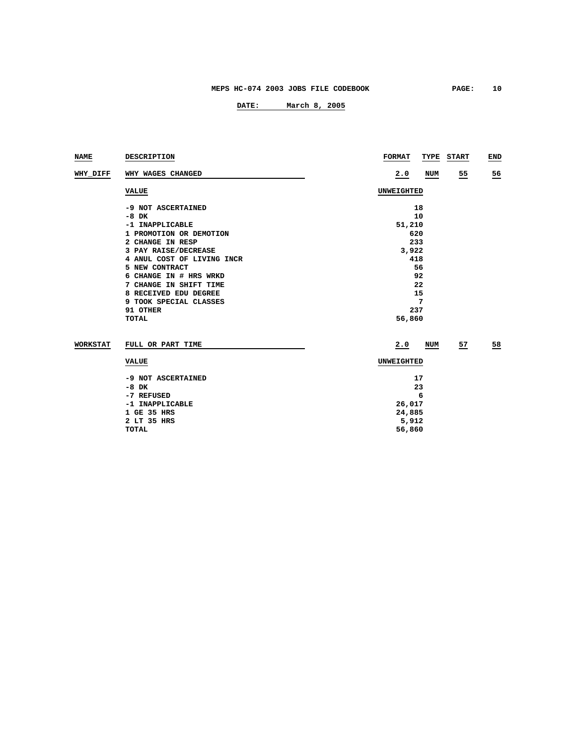| <b>NAME</b>     | <b>DESCRIPTION</b>         | <b>FORMAT</b><br>TYPE<br><b>START</b> | END             |  |  |  |  |
|-----------------|----------------------------|---------------------------------------|-----------------|--|--|--|--|
| WHY_DIFF        | WHY WAGES CHANGED          | 2.0<br>NUM<br>$\overline{25}$         | $\overline{56}$ |  |  |  |  |
|                 | <b>VALUE</b>               | UNWEIGHTED                            |                 |  |  |  |  |
|                 | -9 NOT ASCERTAINED         | 18                                    |                 |  |  |  |  |
|                 | $-8$ DK                    | 10                                    |                 |  |  |  |  |
|                 | -1 INAPPLICABLE            | 51,210                                |                 |  |  |  |  |
|                 | 1 PROMOTION OR DEMOTION    | 620                                   |                 |  |  |  |  |
|                 | 2 CHANGE IN RESP           | 233                                   |                 |  |  |  |  |
|                 | 3 PAY RAISE/DECREASE       | 3,922                                 |                 |  |  |  |  |
|                 | 4 ANUL COST OF LIVING INCR | 418                                   |                 |  |  |  |  |
|                 | 5 NEW CONTRACT             | 56                                    |                 |  |  |  |  |
|                 | 6 CHANGE IN # HRS WRKD     | 92                                    |                 |  |  |  |  |
|                 | 7 CHANGE IN SHIFT TIME     | 22                                    |                 |  |  |  |  |
|                 | 8 RECEIVED EDU DEGREE      | 15                                    |                 |  |  |  |  |
|                 | 9 TOOK SPECIAL CLASSES     | 7                                     |                 |  |  |  |  |
|                 | 91 OTHER                   | 237                                   |                 |  |  |  |  |
|                 | <b>TOTAL</b>               | 56,860                                |                 |  |  |  |  |
| <b>WORKSTAT</b> | FULL OR PART TIME          | 2.0<br>NUM<br>57                      | 58              |  |  |  |  |
|                 | <b>VALUE</b>               | UNWEIGHTED                            |                 |  |  |  |  |
|                 | -9 NOT ASCERTAINED         | 17                                    |                 |  |  |  |  |
|                 | $-8$ DK                    | 23                                    |                 |  |  |  |  |
|                 | -7 REFUSED                 | 6                                     |                 |  |  |  |  |
|                 | -1 INAPPLICABLE            | 26,017                                |                 |  |  |  |  |
|                 | 1 GE 35 HRS                | 24,885                                |                 |  |  |  |  |
|                 | 2 LT 35 HRS                | 5,912                                 |                 |  |  |  |  |
|                 | <b>TOTAL</b>               | 56,860                                |                 |  |  |  |  |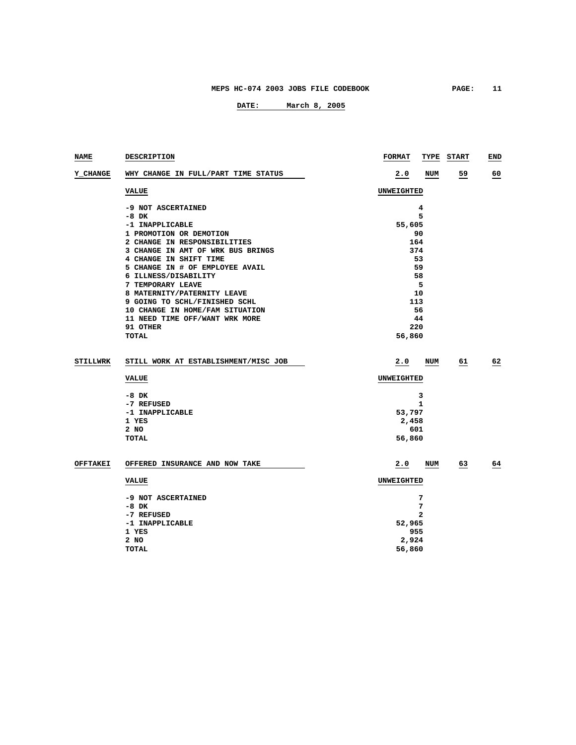| NAME            | <b>DESCRIPTION</b>                   | <b>FORMAT</b>     |            | TYPE START | END |
|-----------------|--------------------------------------|-------------------|------------|------------|-----|
| Y_CHANGE        | WHY CHANGE IN FULL/PART TIME STATUS  | 2.0               | NUM        | 59         | 60  |
|                 | <b>VALUE</b>                         | UNWEIGHTED        |            |            |     |
|                 | -9 NOT ASCERTAINED                   |                   | 4          |            |     |
|                 | $-8$ DK                              |                   | 5          |            |     |
|                 | -1 INAPPLICABLE                      | 55,605            |            |            |     |
|                 | 1 PROMOTION OR DEMOTION              | 90                |            |            |     |
|                 | 2 CHANGE IN RESPONSIBILITIES         | 164               |            |            |     |
|                 | 3 CHANGE IN AMT OF WRK BUS BRINGS    | 374               |            |            |     |
|                 | 4 CHANGE IN SHIFT TIME               | 53                |            |            |     |
|                 | 5 CHANGE IN # OF EMPLOYEE AVAIL      | 59                |            |            |     |
|                 | 6 ILLNESS/DISABILITY                 | 58                |            |            |     |
|                 | 7 TEMPORARY LEAVE                    |                   | 5          |            |     |
|                 | 8 MATERNITY/PATERNITY LEAVE          | 10                |            |            |     |
|                 | 9 GOING TO SCHL/FINISHED SCHL        | 113               |            |            |     |
|                 | 10 CHANGE IN HOME/FAM SITUATION      | 56                |            |            |     |
|                 | 11 NEED TIME OFF/WANT WRK MORE       | 44                |            |            |     |
|                 | 91 OTHER                             | 220               |            |            |     |
|                 | <b>TOTAL</b>                         | 56,860            |            |            |     |
|                 |                                      |                   |            |            |     |
| <b>STILLWRK</b> | STILL WORK AT ESTABLISHMENT/MISC JOB | 2.0               | NUM        | 61         | 62  |
|                 | <b>VALUE</b>                         | <b>UNWEIGHTED</b> |            |            |     |
|                 | $-8$ DK                              |                   | 3          |            |     |
|                 | -7 REFUSED                           |                   | 1          |            |     |
|                 | -1 INAPPLICABLE                      | 53,797            |            |            |     |
|                 | 1 YES                                | 2,458             |            |            |     |
|                 | 2 NO                                 | 601               |            |            |     |
|                 | <b>TOTAL</b>                         | 56,860            |            |            |     |
|                 |                                      |                   |            |            |     |
| <b>OFFTAKEI</b> | OFFERED INSURANCE AND NOW TAKE       | 2.0               | <b>NUM</b> | 63         | 64  |
|                 | <b>VALUE</b>                         | <b>UNWEIGHTED</b> |            |            |     |
|                 | -9 NOT ASCERTAINED                   |                   | 7          |            |     |
|                 | $-8$ DK                              |                   | 7          |            |     |
|                 | -7 REFUSED                           |                   | 2          |            |     |
|                 | -1 INAPPLICABLE                      | 52,965            |            |            |     |
|                 | 1 YES                                | 955               |            |            |     |
|                 | 2 NO                                 | 2,924             |            |            |     |
|                 | <b>TOTAL</b>                         | 56,860            |            |            |     |
|                 |                                      |                   |            |            |     |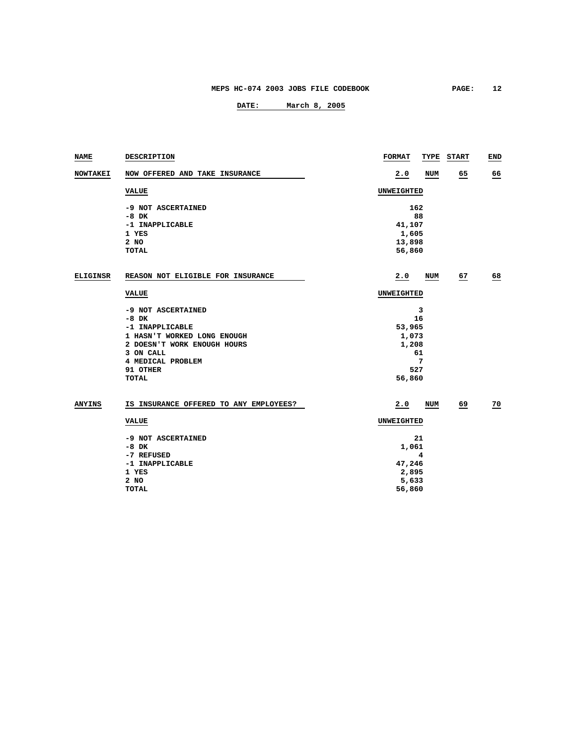| NAME            | DESCRIPTION                            | <b>FORMAT</b> |     | TYPE START | END             |
|-----------------|----------------------------------------|---------------|-----|------------|-----------------|
| <b>NOWTAKEI</b> | NOW OFFERED AND TAKE INSURANCE         | 2.0           | NUM | 65         | 66              |
|                 | VALUE                                  | UNWEIGHTED    |     |            |                 |
|                 | -9 NOT ASCERTAINED<br>$-8$ DK          | 162           | 88  |            |                 |
|                 | -1 INAPPLICABLE                        | 41,107        |     |            |                 |
|                 | 1 YES                                  | 1,605         |     |            |                 |
|                 | 2 NO                                   | 13,898        |     |            |                 |
|                 | <b>TOTAL</b>                           | 56,860        |     |            |                 |
| <b>ELIGINSR</b> | REASON NOT ELIGIBLE FOR INSURANCE      |               |     |            |                 |
|                 |                                        | 2.0           | NUM | 67         | 68              |
|                 | <b>VALUE</b>                           | UNWEIGHTED    |     |            |                 |
|                 | -9 NOT ASCERTAINED                     |               | 3   |            |                 |
|                 | $-8$ DK                                |               | 16  |            |                 |
|                 | -1 INAPPLICABLE                        | 53,965        |     |            |                 |
|                 | 1 HASN'T WORKED LONG ENOUGH            | 1,073         |     |            |                 |
|                 | 2 DOESN'T WORK ENOUGH HOURS            | 1,208         |     |            |                 |
|                 | 3 ON CALL                              |               | 61  |            |                 |
|                 | 4 MEDICAL PROBLEM                      |               | 7   |            |                 |
|                 | 91 OTHER                               | 527           |     |            |                 |
|                 | <b>TOTAL</b>                           | 56,860        |     |            |                 |
| <b>ANYINS</b>   | IS INSURANCE OFFERED TO ANY EMPLOYEES? | 2.0           | NUM | 69         | $\overline{20}$ |
|                 | <b>VALUE</b>                           | UNWEIGHTED    |     |            |                 |
|                 | -9 NOT ASCERTAINED                     |               | 21  |            |                 |
|                 | -8 DK                                  | 1,061         |     |            |                 |
|                 | -7 REFUSED                             |               | 4   |            |                 |
|                 | -1 INAPPLICABLE                        | 47,246        |     |            |                 |
|                 | 1 YES                                  | 2,895         |     |            |                 |
|                 | 2 NO                                   | 5,633         |     |            |                 |
|                 | <b>TOTAL</b>                           | 56,860        |     |            |                 |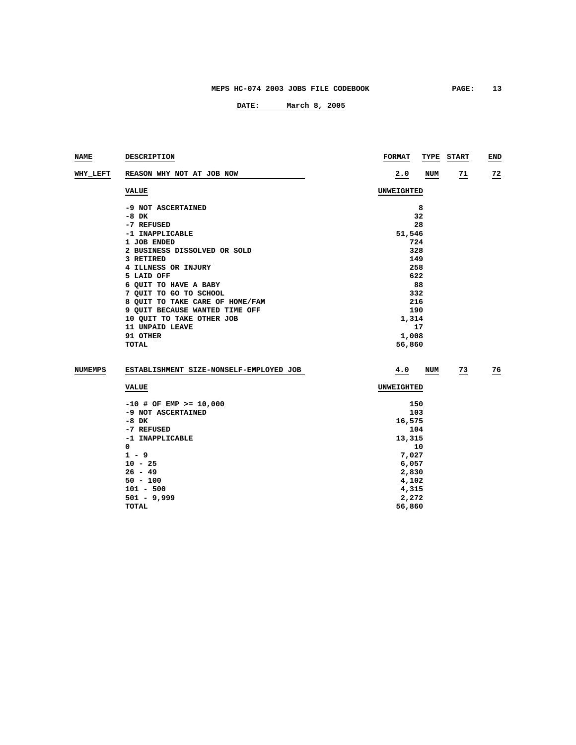| NAME           | DESCRIPTION                             | <b>FORMAT</b><br>TYPE<br><b>START</b> | END             |
|----------------|-----------------------------------------|---------------------------------------|-----------------|
| WHY LEFT       | REASON WHY NOT AT JOB NOW               | 2.0<br>NUM<br>$\frac{71}{2}$          | $\overline{22}$ |
|                | <b>VALUE</b>                            | UNWEIGHTED                            |                 |
|                | -9 NOT ASCERTAINED                      | 8                                     |                 |
|                | -8 DK                                   | 32                                    |                 |
|                | -7 REFUSED                              | 28                                    |                 |
|                | -1 INAPPLICABLE                         | 51,546                                |                 |
|                | 1 JOB ENDED                             | 724                                   |                 |
|                | 2 BUSINESS DISSOLVED OR SOLD            | 328                                   |                 |
|                | 3 RETIRED                               | 149                                   |                 |
|                | 4 ILLNESS OR INJURY                     | 258                                   |                 |
|                | 5 LAID OFF                              | 622                                   |                 |
|                | 6 QUIT TO HAVE A BABY                   | 88                                    |                 |
|                | 7 QUIT TO GO TO SCHOOL                  | 332                                   |                 |
|                | 8 QUIT TO TAKE CARE OF HOME/FAM         | 216                                   |                 |
|                | 9 QUIT BECAUSE WANTED TIME OFF          | 190                                   |                 |
|                | 10 QUIT TO TAKE OTHER JOB               | 1,314                                 |                 |
|                | 11 UNPAID LEAVE                         | 17                                    |                 |
|                | 91 OTHER                                | 1,008                                 |                 |
|                | TOTAL                                   | 56,860                                |                 |
| <b>NUMEMPS</b> | ESTABLISHMENT SIZE-NONSELF-EMPLOYED JOB | $\overline{23}$<br>4.0<br>NUM         | $\frac{76}{ }$  |
|                | <b>VALUE</b>                            | UNWEIGHTED                            |                 |
|                | $-10$ # OF EMP >= 10,000                | 150                                   |                 |
|                | -9 NOT ASCERTAINED                      | 103                                   |                 |
|                | $-8$ DK                                 | 16,575                                |                 |
|                | -7 REFUSED                              | 104                                   |                 |
|                | -1 INAPPLICABLE                         | 13,315                                |                 |
|                | 0                                       | 10                                    |                 |
|                | $1 - 9$                                 | 7,027                                 |                 |
|                | $10 - 25$                               | 6,057                                 |                 |
|                | $26 - 49$                               | 2,830                                 |                 |
|                | $50 - 100$                              | 4,102                                 |                 |
|                | $101 - 500$                             | 4,315                                 |                 |
|                | $501 - 9,999$                           | 2,272                                 |                 |
|                | TOTAL                                   | 56,860                                |                 |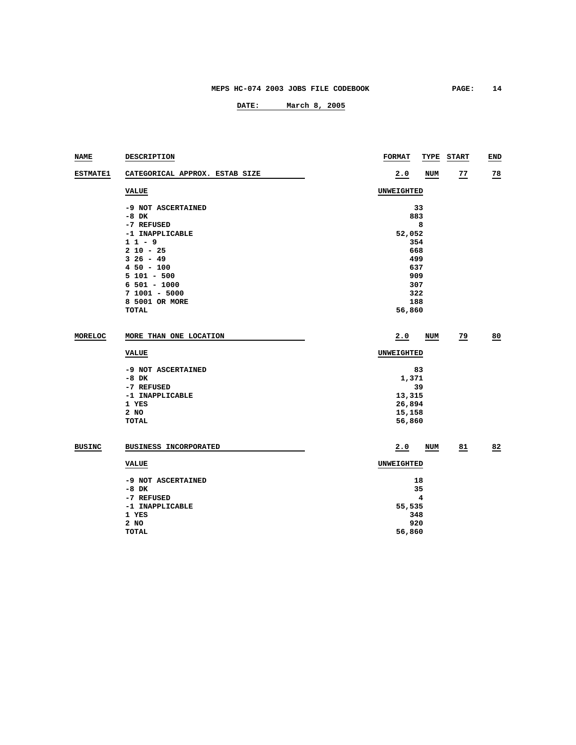| NAME            | DESCRIPTION                    | <b>FORMAT</b> | TYPE START | END            |  |  |
|-----------------|--------------------------------|---------------|------------|----------------|--|--|
| <b>ESTMATE1</b> | CATEGORICAL APPROX. ESTAB SIZE | 2.0           | 77<br>NUM  | $\frac{78}{2}$ |  |  |
|                 | <b>VALUE</b>                   | UNWEIGHTED    |            |                |  |  |
|                 | -9 NOT ASCERTAINED             | 33            |            |                |  |  |
|                 | $-8$ DK                        |               | 883        |                |  |  |
|                 | -7 REFUSED                     | 8             |            |                |  |  |
|                 | -1 INAPPLICABLE                | 52,052        |            |                |  |  |
|                 | $11 - 9$                       | 354           |            |                |  |  |
|                 | $210 - 25$                     | 668           |            |                |  |  |
|                 | $326 - 49$                     | 499           |            |                |  |  |
|                 | $450 - 100$                    | 637           |            |                |  |  |
|                 | $5101 - 500$                   | 909           |            |                |  |  |
|                 | $6501 - 1000$                  | 307           |            |                |  |  |
|                 | $71001 - 5000$                 |               | 322        |                |  |  |
|                 | 8 5001 OR MORE                 |               | 188        |                |  |  |
|                 | <b>TOTAL</b>                   | 56,860        |            |                |  |  |
| MORELOC         | MORE THAN ONE LOCATION         | 2.0           | 79<br>NUM  | 80             |  |  |
|                 |                                |               |            |                |  |  |
|                 | <b>VALUE</b>                   | UNWEIGHTED    |            |                |  |  |
|                 | -9 NOT ASCERTAINED             | 83            |            |                |  |  |
|                 | $-8$ DK                        | 1,371         |            |                |  |  |
|                 | -7 REFUSED                     | 39            |            |                |  |  |
|                 | -1 INAPPLICABLE                | 13,315        |            |                |  |  |
|                 | 1 YES                          | 26,894        |            |                |  |  |
|                 | 2 NO                           | 15,158        |            |                |  |  |
|                 | <b>TOTAL</b>                   | 56,860        |            |                |  |  |
| <b>BUSINC</b>   | <b>BUSINESS INCORPORATED</b>   | 2.0           | 81<br>NUM  | 82             |  |  |
|                 | <b>VALUE</b>                   | UNWEIGHTED    |            |                |  |  |
|                 |                                |               |            |                |  |  |
|                 | -9 NOT ASCERTAINED             | 18            |            |                |  |  |
|                 | $-8$ DK                        | 35            |            |                |  |  |
|                 | -7 REFUSED                     | 4             |            |                |  |  |
|                 | -1 INAPPLICABLE                | 55,535        |            |                |  |  |
|                 | 1 YES                          | 348           |            |                |  |  |
|                 | 2 NO                           | 920           |            |                |  |  |
|                 | <b>TOTAL</b>                   | 56,860        |            |                |  |  |
|                 |                                |               |            |                |  |  |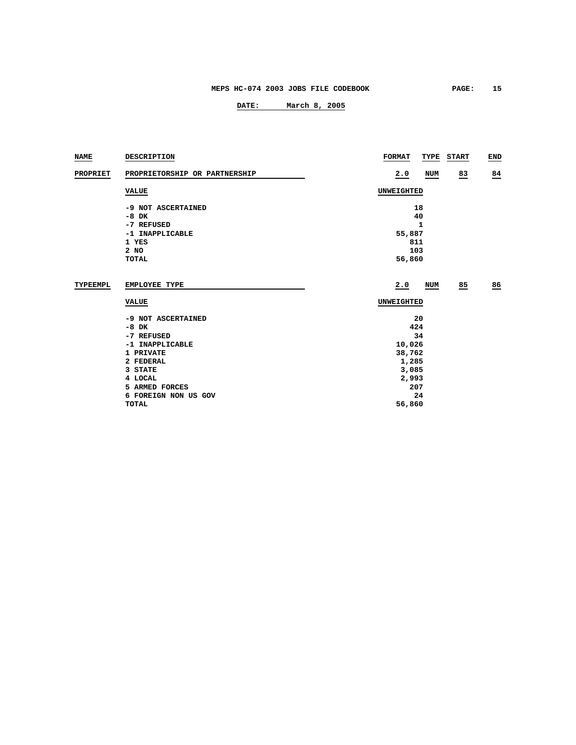| NAME            | <b>DESCRIPTION</b>                   | <b>FORMAT</b>     |       | TYPE START | <b>END</b> |  |
|-----------------|--------------------------------------|-------------------|-------|------------|------------|--|
| <b>PROPRIET</b> | PROPRIETORSHIP OR PARTNERSHIP        | 2.0               | NUM   | 83         | 84         |  |
|                 | <b>VALUE</b>                         | UNWEIGHTED        |       |            |            |  |
|                 | -9 NOT ASCERTAINED                   | 18                |       |            |            |  |
|                 | $-8$ DK                              | 40                |       |            |            |  |
|                 | -7 REFUSED                           | 1                 |       |            |            |  |
|                 | -1 INAPPLICABLE                      | 55,887            |       |            |            |  |
|                 | 1 YES                                | 811               |       |            |            |  |
|                 | 2 NO                                 | 103               |       |            |            |  |
|                 | TOTAL                                | 56,860            |       |            |            |  |
| TYPEEMPL        | <b>EMPLOYEE TYPE</b><br><b>VALUE</b> | 2.0<br>UNWEIGHTED | NUM   | 85         | 86         |  |
|                 | -9 NOT ASCERTAINED                   | 20                |       |            |            |  |
|                 | $-8$ DK                              | 424               |       |            |            |  |
|                 | -7 REFUSED                           | 34                |       |            |            |  |
|                 | -1 INAPPLICABLE                      | 10,026            |       |            |            |  |
|                 | 1 PRIVATE                            | 38,762            |       |            |            |  |
|                 | 2 FEDERAL                            | 1,285             |       |            |            |  |
|                 | 3 STATE                              | 3,085             |       |            |            |  |
|                 | 4 LOCAL                              |                   | 2,993 |            |            |  |
|                 | 5 ARMED FORCES                       | 207               |       |            |            |  |
|                 | 6 FOREIGN NON US GOV                 | 24                |       |            |            |  |
|                 | <b>TOTAL</b>                         | 56,860            |       |            |            |  |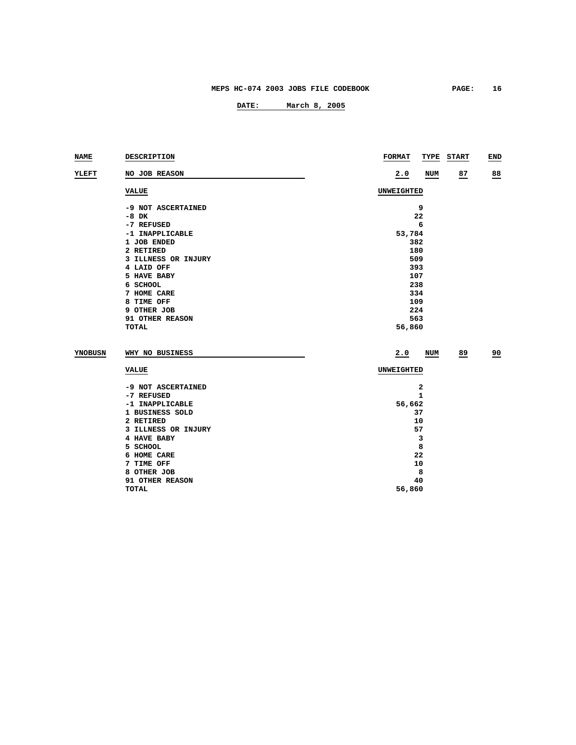| <b>NAME</b>    | DESCRIPTION         | <b>FORMAT</b><br>TYPE | <b>START</b> | END             |  |  |
|----------------|---------------------|-----------------------|--------------|-----------------|--|--|
| YLEFT          | NO JOB REASON       | 2.0<br><b>NUM</b>     | 87           | 88              |  |  |
|                | <b>VALUE</b>        | UNWEIGHTED            |              |                 |  |  |
|                | -9 NOT ASCERTAINED  | 9                     |              |                 |  |  |
|                | $-8$ DK             | 22                    |              |                 |  |  |
|                | -7 REFUSED          | 6                     |              |                 |  |  |
|                | -1 INAPPLICABLE     | 53,784                |              |                 |  |  |
|                | 1 JOB ENDED         | 382                   |              |                 |  |  |
|                | 2 RETIRED           | 180                   |              |                 |  |  |
|                | 3 ILLNESS OR INJURY | 509                   |              |                 |  |  |
|                | 4 LAID OFF          | 393                   |              |                 |  |  |
|                | 5 HAVE BABY         | 107                   |              |                 |  |  |
|                | 6 SCHOOL            | 238                   |              |                 |  |  |
|                | 7 HOME CARE         | 334                   |              |                 |  |  |
|                | 8 TIME OFF          | 109                   |              |                 |  |  |
|                | 9 OTHER JOB         | 224                   |              |                 |  |  |
|                | 91 OTHER REASON     | 563                   |              |                 |  |  |
|                | <b>TOTAL</b>        | 56,860                |              |                 |  |  |
| <b>YNOBUSN</b> | WHY NO BUSINESS     | 2.0<br>NUM            | 89           | $\overline{50}$ |  |  |
|                | <b>VALUE</b>        | UNWEIGHTED            |              |                 |  |  |
|                | -9 NOT ASCERTAINED  | 2                     |              |                 |  |  |
|                | -7 REFUSED          | 1                     |              |                 |  |  |
|                | -1 INAPPLICABLE     | 56,662                |              |                 |  |  |
|                | 1 BUSINESS SOLD     | 37                    |              |                 |  |  |
|                | 2 RETIRED           | 10                    |              |                 |  |  |
|                | 3 ILLNESS OR INJURY | 57                    |              |                 |  |  |
|                | <b>4 HAVE BABY</b>  | 3                     |              |                 |  |  |

|                 | ۔      |
|-----------------|--------|
| 5 SCHOOL        | 8      |
| 6 HOME CARE     | 22     |
| 7 TIME OFF      | 10     |
| 8 OTHER JOB     | 8      |
| 91 OTHER REASON | 40     |
| TOTAL           | 56,860 |
|                 |        |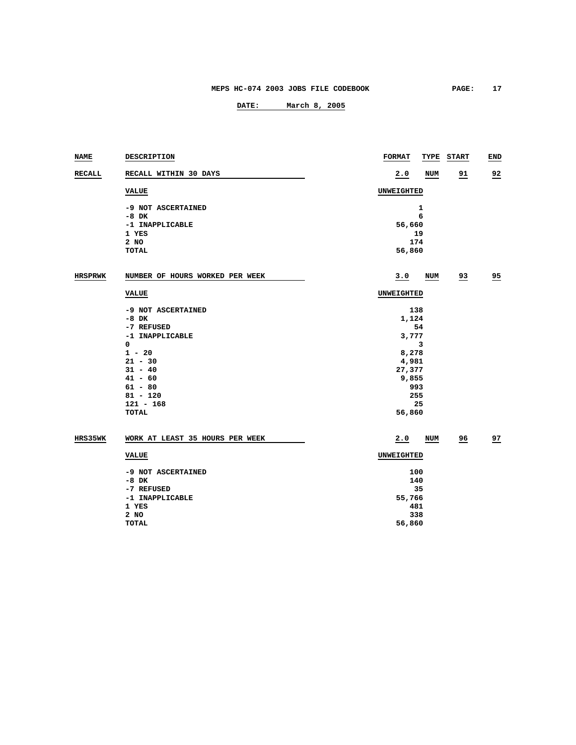| <b>NAME</b>    | DESCRIPTION                     | <b>FORMAT</b><br><b>TYPE</b> | <b>START</b>   | END            |  |  |
|----------------|---------------------------------|------------------------------|----------------|----------------|--|--|
| <b>RECALL</b>  | RECALL WITHIN 30 DAYS           | 2.0<br>NUM                   | 91             | $\frac{92}{5}$ |  |  |
|                | <b>VALUE</b>                    | UNWEIGHTED                   |                |                |  |  |
|                | -9 NOT ASCERTAINED              | $\mathbf{1}$                 |                |                |  |  |
|                | $-8$ DK                         | 6                            |                |                |  |  |
|                | -1 INAPPLICABLE                 | 56,660                       |                |                |  |  |
|                | 1 YES                           | 19                           |                |                |  |  |
|                | 2 NO                            | 174                          |                |                |  |  |
|                | TOTAL                           | 56,860                       |                |                |  |  |
| <b>HRSPRWK</b> | NUMBER OF HOURS WORKED PER WEEK | 3.0<br>NUM                   | 93             | 95             |  |  |
|                | <b>VALUE</b>                    | UNWEIGHTED                   |                |                |  |  |
|                |                                 |                              |                |                |  |  |
|                | -9 NOT ASCERTAINED              | 138                          |                |                |  |  |
|                | $-8$ DK                         | 1,124                        |                |                |  |  |
|                | -7 REFUSED                      | 54                           |                |                |  |  |
|                | -1 INAPPLICABLE<br>0            | 3,777<br>з                   |                |                |  |  |
|                | $1 - 20$                        | 8,278                        |                |                |  |  |
|                | $21 - 30$                       | 4,981                        |                |                |  |  |
|                | $31 - 40$                       | 27,377                       |                |                |  |  |
|                | $41 - 60$                       | 9,855                        |                |                |  |  |
|                | $61 - 80$                       | 993                          |                |                |  |  |
|                | $81 - 120$                      | 255                          |                |                |  |  |
|                | $121 - 168$                     | 25                           |                |                |  |  |
|                | TOTAL                           | 56,860                       |                |                |  |  |
| HRS35WK        | WORK AT LEAST 35 HOURS PER WEEK | 2.0<br>NUM                   | $\frac{96}{5}$ | 27             |  |  |
|                |                                 |                              |                |                |  |  |
|                | <b>VALUE</b>                    |                              | UNWEIGHTED     |                |  |  |
|                | -9 NOT ASCERTAINED              | 100                          |                |                |  |  |
|                | $-8$ DK                         | 140                          |                |                |  |  |
|                | -7 REFUSED                      | 35                           |                |                |  |  |
|                | -1 INAPPLICABLE                 | 55,766                       |                |                |  |  |
|                | 1 YES                           | 481                          |                |                |  |  |
|                | 2 NO                            | 338                          |                |                |  |  |
|                | TOTAL                           | 56,860                       |                |                |  |  |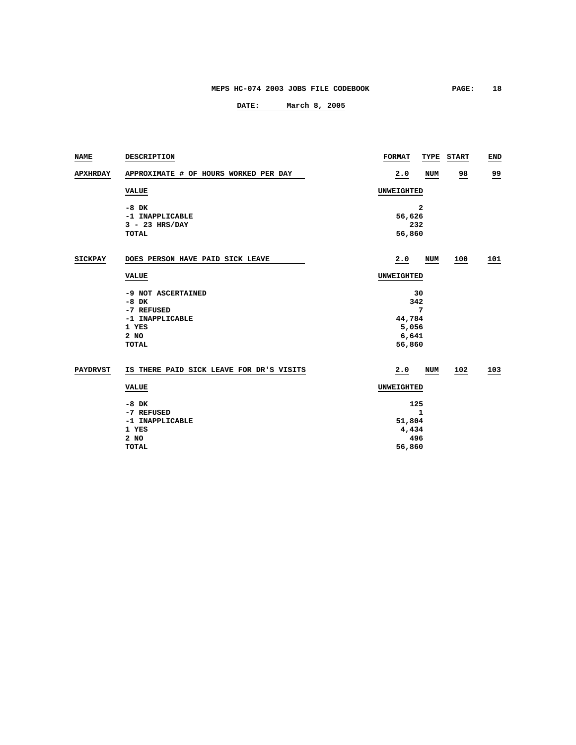| <b>NAME</b>     | DESCRIPTION                              | <b>FORMAT</b> | TYPE       | <b>START</b>   | END       |  |
|-----------------|------------------------------------------|---------------|------------|----------------|-----------|--|
| <b>APXHRDAY</b> | APPROXIMATE # OF HOURS WORKED PER DAY    | 2.0           | <b>NUM</b> | $\frac{98}{1}$ | <u>99</u> |  |
|                 | <b>VALUE</b>                             | UNWEIGHTED    |            |                |           |  |
|                 | $-8$ DK                                  |               | 2          |                |           |  |
|                 | -1 INAPPLICABLE                          | 56,626        |            |                |           |  |
|                 | $3 - 23$ HRS/DAY                         | 232           |            |                |           |  |
|                 | <b>TOTAL</b>                             | 56,860        |            |                |           |  |
| <b>SICKPAY</b>  | DOES PERSON HAVE PAID SICK LEAVE         | 2.0           | <b>NUM</b> | 100            | 101       |  |
|                 | <b>VALUE</b>                             | UNWEIGHTED    |            |                |           |  |
|                 | -9 NOT ASCERTAINED                       |               | 30         |                |           |  |
|                 | $-8$ DK                                  | 342           |            |                |           |  |
|                 | -7 REFUSED                               |               | 7          |                |           |  |
|                 | -1 INAPPLICABLE                          | 44,784        |            |                |           |  |
|                 | 1 YES                                    |               | 5,056      |                |           |  |
|                 | 2 NO<br><b>TOTAL</b>                     | 56,860        | 6,641      |                |           |  |
|                 |                                          |               |            |                |           |  |
| <b>PAYDRVST</b> | IS THERE PAID SICK LEAVE FOR DR'S VISITS | 2.0           | <b>NUM</b> | 102            | 103       |  |
|                 | <b>VALUE</b>                             |               | UNWEIGHTED |                |           |  |
|                 | $-8$ DK                                  | 125           |            |                |           |  |
|                 | -7 REFUSED                               |               | 1          |                |           |  |
|                 | -1 INAPPLICABLE                          | 51,804        |            |                |           |  |
|                 | 1 YES                                    | 4,434         |            |                |           |  |
|                 | 2 NO                                     | 496           |            |                |           |  |
|                 | <b>TOTAL</b>                             | 56,860        |            |                |           |  |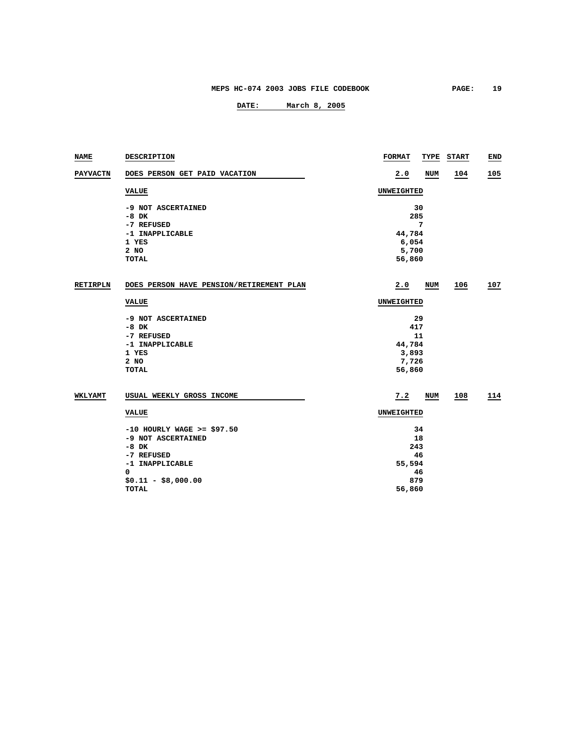| <b>NAME</b>     | DESCRIPTION                              | <b>FORMAT</b> | TYPE       | <b>START</b> | END |  |
|-----------------|------------------------------------------|---------------|------------|--------------|-----|--|
| <b>PAYVACTN</b> | DOES PERSON GET PAID VACATION            | 2.0           | <b>NUM</b> | 104          | 105 |  |
|                 | <b>VALUE</b>                             | UNWEIGHTED    |            |              |     |  |
|                 | -9 NOT ASCERTAINED                       |               | 30         |              |     |  |
|                 | $-8$ DK                                  | 285           |            |              |     |  |
|                 | -7 REFUSED                               |               | 7          |              |     |  |
|                 | -1 INAPPLICABLE                          | 44,784        |            |              |     |  |
|                 | 1 YES                                    | 6,054         |            |              |     |  |
|                 | 2 NO                                     | 5,700         |            |              |     |  |
|                 | <b>TOTAL</b>                             | 56,860        |            |              |     |  |
| <b>RETIRPLN</b> | DOES PERSON HAVE PENSION/RETIREMENT PLAN | 2.0           | NUM        | 106          | 107 |  |
|                 | <b>VALUE</b>                             | UNWEIGHTED    |            |              |     |  |
|                 | -9 NOT ASCERTAINED                       |               | 29         |              |     |  |
|                 | $-8$ DK                                  |               | 417        |              |     |  |
|                 | -7 REFUSED                               |               | 11         |              |     |  |
|                 | -1 INAPPLICABLE                          |               | 44,784     |              |     |  |
|                 | 1 YES                                    | 3,893         |            |              |     |  |
|                 | 2 NO                                     |               | 7,726      |              |     |  |
|                 | <b>TOTAL</b>                             | 56,860        |            |              |     |  |
| WKLYAMT         | USUAL WEEKLY GROSS INCOME                | 7.2           | NUM        | 108          | 114 |  |
|                 | <b>VALUE</b>                             | UNWEIGHTED    |            |              |     |  |
|                 | $-10$ HOURLY WAGE >= \$97.50             |               | 34         |              |     |  |
|                 | -9 NOT ASCERTAINED                       |               | 18         |              |     |  |
|                 | $-8$ DK                                  | 243           |            |              |     |  |
|                 | -7 REFUSED                               | 46            |            |              |     |  |
|                 | -1 INAPPLICABLE                          | 55,594        |            |              |     |  |
|                 | 0                                        |               | 46         |              |     |  |
|                 | $$0.11 - $8,000.00$                      | 879           |            |              |     |  |
|                 | <b>TOTAL</b>                             | 56,860        |            |              |     |  |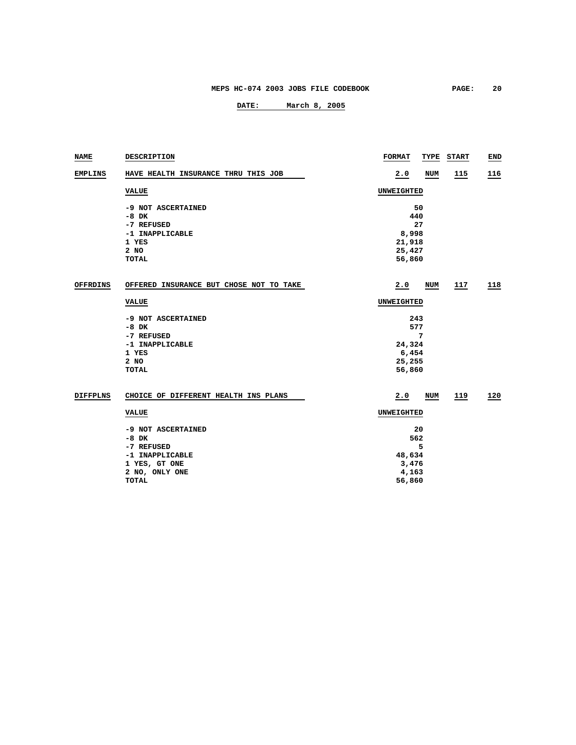| <b>NAME</b>     | DESCRIPTION                                 | <b>FORMAT</b>    | TYPE       | <b>START</b> | END |
|-----------------|---------------------------------------------|------------------|------------|--------------|-----|
| <b>EMPLINS</b>  | HAVE HEALTH INSURANCE THRU THIS JOB         | 2.0              | <b>NUM</b> | <u>115</u>   | 116 |
|                 | <b>VALUE</b>                                | UNWEIGHTED       |            |              |     |
|                 | -9 NOT ASCERTAINED<br>$-8$ DK<br>-7 REFUSED | 440              | 50<br>27   |              |     |
|                 | -1 INAPPLICABLE<br>1 YES                    | 8,998<br>21,918  |            |              |     |
|                 | $2$ NO<br><b>TOTAL</b>                      | 25,427<br>56,860 |            |              |     |
| <b>OFFRDINS</b> | OFFERED INSURANCE BUT CHOSE NOT TO TAKE     | 2.0              | NUM        | 117          | 118 |
|                 | VALUE                                       | UNWEIGHTED       |            |              |     |
|                 | -9 NOT ASCERTAINED<br>$-8$ DK               | 243<br>577       |            |              |     |
|                 | -7 REFUSED<br>-1 INAPPLICABLE               | 24,324           | 7          |              |     |
|                 | 1 YES<br>2 NO                               | 6,454            |            |              |     |
|                 | <b>TOTAL</b>                                | 25,255<br>56,860 |            |              |     |
| <b>DIFFPLNS</b> | CHOICE OF DIFFERENT HEALTH INS PLANS        | 2.0              | <b>NUM</b> | 119          | 120 |
|                 | <b>VALUE</b>                                | UNWEIGHTED       |            |              |     |
|                 | -9 NOT ASCERTAINED                          |                  | 20         |              |     |
|                 | $-8$ DK<br>-7 REFUSED                       | 562              | 5          |              |     |
|                 | -1 INAPPLICABLE                             | 48,634           |            |              |     |
|                 | 1 YES, GT ONE                               | 3,476            |            |              |     |
|                 | 2 NO, ONLY ONE                              | 4,163            |            |              |     |
|                 | TOTAL                                       | 56,860           |            |              |     |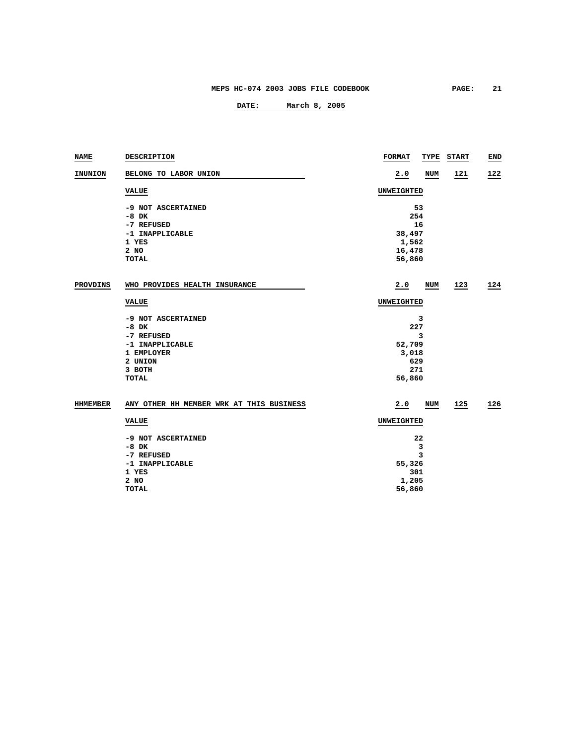| <b>NAME</b>     | DESCRIPTION                              | <b>FORMAT</b>   | TYPE      | <b>START</b> | <b>END</b> |  |
|-----------------|------------------------------------------|-----------------|-----------|--------------|------------|--|
| INUNION         | BELONG TO LABOR UNION                    | 2.0             | NUM       | 121          | 122        |  |
|                 | <b>VALUE</b>                             | UNWEIGHTED      |           |              |            |  |
|                 | -9 NOT ASCERTAINED                       |                 | 53        |              |            |  |
|                 | $-8$ DK                                  |                 | 254<br>16 |              |            |  |
|                 | -7 REFUSED<br>-1 INAPPLICABLE            |                 |           |              |            |  |
|                 | 1 YES                                    | 38,497<br>1,562 |           |              |            |  |
|                 | 2 NO                                     | 16,478          |           |              |            |  |
|                 | <b>TOTAL</b>                             | 56,860          |           |              |            |  |
|                 |                                          |                 |           |              |            |  |
| <b>PROVDINS</b> | WHO PROVIDES HEALTH INSURANCE            | 2.0             | NUM       | 123          | 124        |  |
|                 | <b>VALUE</b>                             | UNWEIGHTED      |           |              |            |  |
|                 | -9 NOT ASCERTAINED                       |                 | 3         |              |            |  |
|                 | $-8$ DK                                  | 227             |           |              |            |  |
|                 | -7 REFUSED                               | 3               |           |              |            |  |
|                 | -1 INAPPLICABLE                          | 52,709          |           |              |            |  |
|                 | 1 EMPLOYER                               | 3,018           |           |              |            |  |
|                 | 2 UNION                                  | 629             |           |              |            |  |
|                 | 3 BOTH                                   |                 | 271       |              |            |  |
|                 | <b>TOTAL</b>                             | 56,860          |           |              |            |  |
| HHMEMBER        | ANY OTHER HH MEMBER WRK AT THIS BUSINESS | 2.0             | NUM       | 125          | 126        |  |
|                 | <b>VALUE</b>                             | UNWEIGHTED      |           |              |            |  |
|                 | -9 NOT ASCERTAINED                       |                 | 22        |              |            |  |
|                 | $-8$ DK                                  | 3               |           |              |            |  |
|                 | -7 REFUSED                               |                 | 3         |              |            |  |
|                 | -1 INAPPLICABLE                          | 55,326          |           |              |            |  |
|                 | 1 YES                                    |                 | 301       |              |            |  |
|                 | 2 NO                                     | 1,205           |           |              |            |  |
|                 | <b>TOTAL</b>                             | 56,860          |           |              |            |  |
|                 |                                          |                 |           |              |            |  |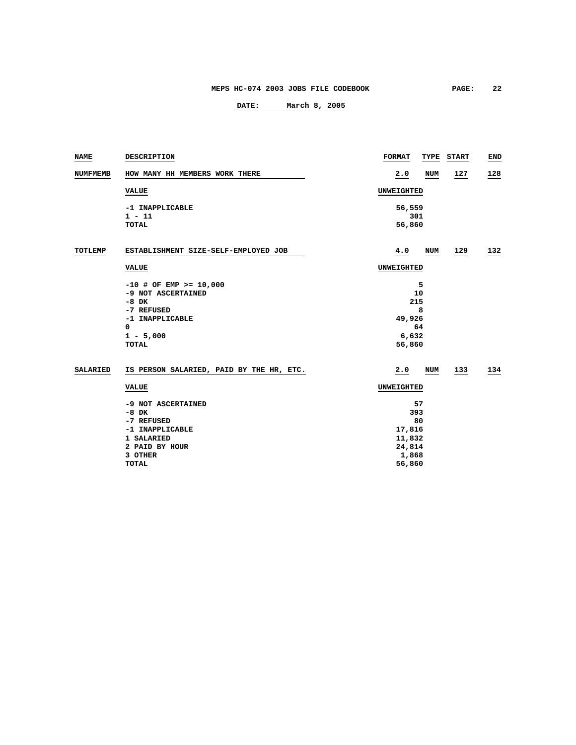| NAME            | DESCRIPTION                              | <b>FORMAT</b> | TYPE       | <b>START</b> | END |  |
|-----------------|------------------------------------------|---------------|------------|--------------|-----|--|
| <b>NUMFMEMB</b> | HOW MANY HH MEMBERS WORK THERE           | 2.0           | <b>NUM</b> | 127          | 128 |  |
|                 | <b>VALUE</b>                             | UNWEIGHTED    |            |              |     |  |
|                 | -1 INAPPLICABLE                          | 56,559        |            |              |     |  |
|                 | $1 - 11$                                 |               | 301        |              |     |  |
|                 | <b>TOTAL</b>                             | 56,860        |            |              |     |  |
| TOTLEMP         | ESTABLISHMENT SIZE-SELF-EMPLOYED JOB     | 4.0           | NUM        | 129          | 132 |  |
|                 | <b>VALUE</b>                             | UNWEIGHTED    |            |              |     |  |
|                 | $-10$ # OF EMP >= 10,000                 | 5             |            |              |     |  |
|                 | -9 NOT ASCERTAINED                       | 10            |            |              |     |  |
|                 | $-8$ DK                                  | 215           |            |              |     |  |
|                 | -7 REFUSED                               | 8             |            |              |     |  |
|                 | -1 INAPPLICABLE                          | 49,926        |            |              |     |  |
|                 | $\mathbf 0$                              | 64            |            |              |     |  |
|                 | $1 - 5,000$                              | 6,632         |            |              |     |  |
|                 | TOTAL                                    | 56,860        |            |              |     |  |
| <b>SALARIED</b> | IS PERSON SALARIED, PAID BY THE HR, ETC. | 2.0           | NUM        | 133          | 134 |  |
|                 | <b>VALUE</b>                             |               | UNWEIGHTED |              |     |  |
|                 | -9 NOT ASCERTAINED                       |               | 57         |              |     |  |
|                 | $-8$ DK                                  | 393           |            |              |     |  |
|                 | -7 REFUSED                               | 80            |            |              |     |  |
|                 | -1 INAPPLICABLE                          | 17,816        |            |              |     |  |
|                 | 1 SALARIED                               | 11,832        |            |              |     |  |
|                 | 2 PAID BY HOUR                           | 24,814        |            |              |     |  |
|                 | 3 OTHER                                  | 1,868         |            |              |     |  |
|                 | <b>TOTAL</b>                             | 56,860        |            |              |     |  |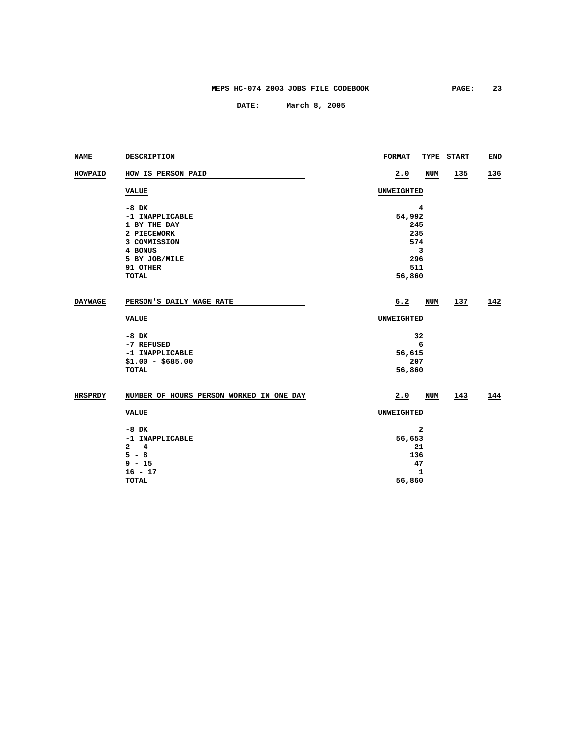| <b>NAME</b>    | DESCRIPTION                              | <b>FORMAT</b> | TYPE      | <b>START</b> | END |  |
|----------------|------------------------------------------|---------------|-----------|--------------|-----|--|
| HOWPAID        | HOW IS PERSON PAID                       | 2.0           | NUM       | 135          | 136 |  |
|                | <b>VALUE</b>                             | UNWEIGHTED    |           |              |     |  |
|                | $-8$ DK                                  |               | 4         |              |     |  |
|                | -1 INAPPLICABLE                          | 54,992        |           |              |     |  |
|                | 1 BY THE DAY                             |               | 245       |              |     |  |
|                | 2 PIECEWORK                              |               | 235       |              |     |  |
|                | 3 COMMISSION                             |               | 574       |              |     |  |
|                | 4 BONUS                                  |               | 3         |              |     |  |
|                | 5 BY JOB/MILE                            |               | 296       |              |     |  |
|                | 91 OTHER                                 | 511           |           |              |     |  |
|                | <b>TOTAL</b>                             | 56,860        |           |              |     |  |
| <b>DAYWAGE</b> | PERSON'S DAILY WAGE RATE                 | 6.2           | NUM       | 137          | 142 |  |
|                | <b>VALUE</b>                             | UNWEIGHTED    |           |              |     |  |
|                | $-8$ DK                                  |               | 32        |              |     |  |
|                | -7 REFUSED                               |               | 6         |              |     |  |
|                | -1 INAPPLICABLE                          | 56,615        |           |              |     |  |
|                | $$1.00 - $685.00$                        |               | 207       |              |     |  |
|                | <b>TOTAL</b>                             |               | 56,860    |              |     |  |
| <b>HRSPRDY</b> | NUMBER OF HOURS PERSON WORKED IN ONE DAY | 2.0           | NUM       | 143          | 144 |  |
|                | <b>VALUE</b>                             | UNWEIGHTED    |           |              |     |  |
|                |                                          |               |           |              |     |  |
|                | $-8$ DK                                  | 2             |           |              |     |  |
|                | -1 INAPPLICABLE                          |               | 56,653    |              |     |  |
|                | $2 - 4$<br>$5 - 8$                       |               | 21<br>136 |              |     |  |
|                | $9 - 15$                                 |               |           |              |     |  |
|                |                                          |               | 47        |              |     |  |
|                | $16 - 17$<br><b>TOTAL</b>                | 56,860        | 1         |              |     |  |
|                |                                          |               |           |              |     |  |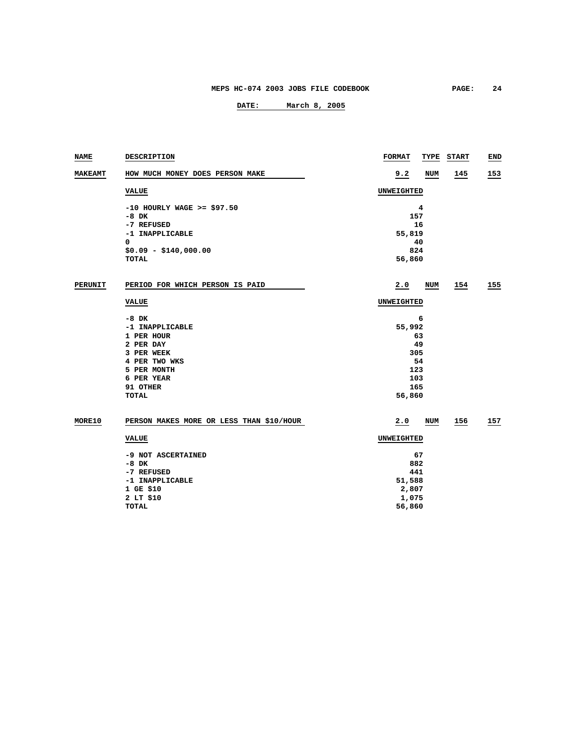| NAME           | DESCRIPTION                              | <b>FORMAT</b> | TYPE | <b>START</b> | END |
|----------------|------------------------------------------|---------------|------|--------------|-----|
| <b>MAKEAMT</b> | HOW MUCH MONEY DOES PERSON MAKE          | 9.2           | NUM  | 145          | 153 |
|                | <b>VALUE</b>                             | UNWEIGHTED    |      |              |     |
|                | $-10$ HOURLY WAGE >= \$97.50             |               | 4    |              |     |
|                | $-8$ DK                                  | 157           |      |              |     |
|                | -7 REFUSED                               |               | 16   |              |     |
|                | -1 INAPPLICABLE                          | 55,819        |      |              |     |
|                | 0                                        |               | 40   |              |     |
|                | $$0.09 - $140,000.00$                    | 824           |      |              |     |
|                | TOTAL                                    | 56,860        |      |              |     |
| <b>PERUNIT</b> | PERIOD FOR WHICH PERSON IS PAID          | 2.0           | NUM  | 154          | 155 |
|                | <b>VALUE</b>                             | UNWEIGHTED    |      |              |     |
|                | $-8$ DK                                  |               | 6    |              |     |
|                | -1 INAPPLICABLE                          | 55,992        |      |              |     |
|                | 1 PER HOUR                               | 63            |      |              |     |
|                | 2 PER DAY                                | 49            |      |              |     |
|                | 3 PER WEEK                               | 305           |      |              |     |
|                | 4 PER TWO WKS                            |               | 54   |              |     |
|                | 5 PER MONTH                              | 123           |      |              |     |
|                | 6 PER YEAR                               | 103           |      |              |     |
|                | 91 OTHER                                 | 165           |      |              |     |
|                | <b>TOTAL</b>                             | 56,860        |      |              |     |
| MORE10         | PERSON MAKES MORE OR LESS THAN \$10/HOUR | 2.0           | NUM  | 156          | 157 |
|                | <b>VALUE</b>                             | UNWEIGHTED    |      |              |     |
|                | -9 NOT ASCERTAINED                       |               | 67   |              |     |
|                | $-8$ DK                                  | 882           |      |              |     |
|                | -7 REFUSED                               | 441           |      |              |     |
|                | -1 INAPPLICABLE                          | 51,588        |      |              |     |
|                | 1 GE \$10                                | 2,807         |      |              |     |
|                | 2 LT \$10                                | 1,075         |      |              |     |
|                | <b>TOTAL</b>                             | 56,860        |      |              |     |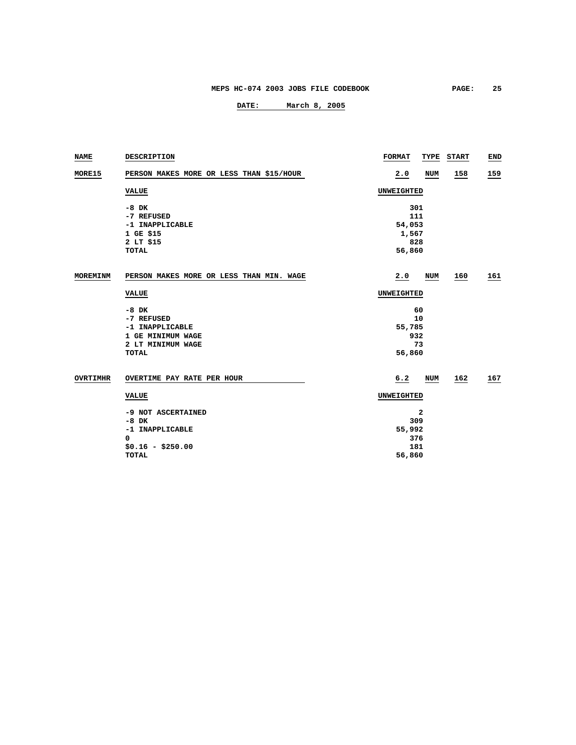| <b>NAME</b>     | <b>DESCRIPTION</b>                                                                                 | <b>FORMAT</b><br>TYPE                      | <b>START</b> | END |
|-----------------|----------------------------------------------------------------------------------------------------|--------------------------------------------|--------------|-----|
| MORE15          | PERSON MAKES MORE OR LESS THAN \$15/HOUR                                                           | 2.0<br>NUM                                 | 158          | 159 |
|                 | <b>VALUE</b>                                                                                       | UNWEIGHTED                                 |              |     |
|                 | $-8$ DK<br>-7 REFUSED<br>-1 INAPPLICABLE<br>1 GE \$15                                              | 301<br>111<br>54,053<br>1,567              |              |     |
|                 | 2 LT \$15<br><b>TOTAL</b>                                                                          | 828<br>56,860                              |              |     |
| MOREMINM        | PERSON MAKES MORE OR LESS THAN MIN. WAGE                                                           | 2.0<br>NUM                                 | <u>160</u>   | 161 |
|                 | <b>VALUE</b>                                                                                       | UNWEIGHTED                                 |              |     |
|                 | $-8$ DK<br>-7 REFUSED<br>-1 INAPPLICABLE<br>1 GE MINIMUM WAGE<br>2 LT MINIMUM WAGE<br><b>TOTAL</b> | 60<br>10<br>55,785<br>932<br>73<br>56,860  |              |     |
| <b>OVRTIMHR</b> | OVERTIME PAY RATE PER HOUR                                                                         | 6.2<br>NUM                                 | 162          | 167 |
|                 | <b>VALUE</b>                                                                                       | UNWEIGHTED                                 |              |     |
|                 | -9 NOT ASCERTAINED<br>$-8$ DK<br>-1 INAPPLICABLE<br>0<br>$$0.16 - $250.00$<br><b>TOTAL</b>         | 2<br>309<br>55,992<br>376<br>181<br>56,860 |              |     |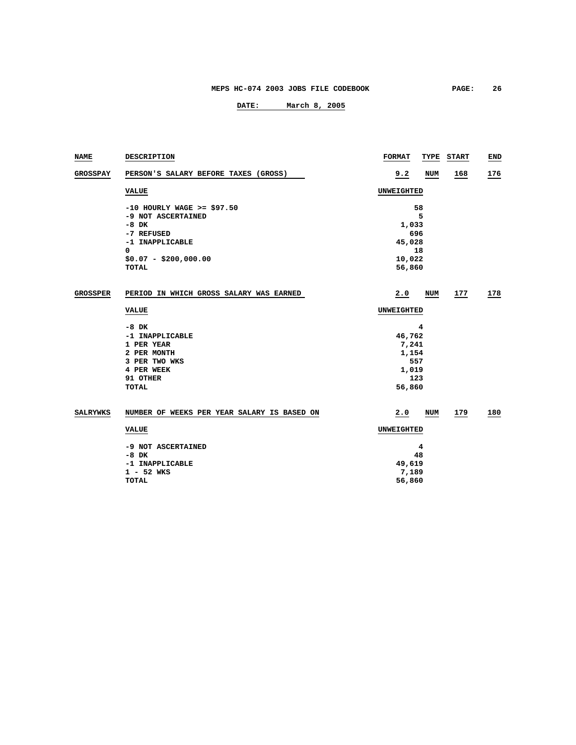| NAME            | DESCRIPTION                                 | <b>FORMAT</b> | TYPE       | <b>START</b> | END |
|-----------------|---------------------------------------------|---------------|------------|--------------|-----|
| <b>GROSSPAY</b> | PERSON'S SALARY BEFORE TAXES (GROSS)        | 9.2           | <b>NUM</b> | 168          | 176 |
|                 | <b>VALUE</b>                                | UNWEIGHTED    |            |              |     |
|                 | $-10$ HOURLY WAGE >= \$97.50                |               | 58         |              |     |
|                 | -9 NOT ASCERTAINED                          |               | 5          |              |     |
|                 | $-8$ DK                                     | 1,033         |            |              |     |
|                 | -7 REFUSED                                  | 696           |            |              |     |
|                 | -1 INAPPLICABLE                             | 45,028        |            |              |     |
|                 | 0                                           |               | 18         |              |     |
|                 | $$0.07 - $200,000.00$                       | 10,022        |            |              |     |
|                 | <b>TOTAL</b>                                | 56,860        |            |              |     |
| <b>GROSSPER</b> | PERIOD IN WHICH GROSS SALARY WAS EARNED     | 2.0           | NUM        | 177          | 178 |
|                 | <b>VALUE</b>                                | UNWEIGHTED    |            |              |     |
|                 | $-8$ DK                                     |               | 4          |              |     |
|                 | -1 INAPPLICABLE                             | 46,762        |            |              |     |
|                 | 1 PER YEAR                                  | 7,241         |            |              |     |
|                 | 2 PER MONTH                                 | 1,154         |            |              |     |
|                 | 3 PER TWO WKS                               | 557           |            |              |     |
|                 | 4 PER WEEK                                  | 1,019         |            |              |     |
|                 | 91 OTHER                                    | 123           |            |              |     |
|                 | <b>TOTAL</b>                                | 56,860        |            |              |     |
| <b>SALRYWKS</b> | NUMBER OF WEEKS PER YEAR SALARY IS BASED ON | 2.0           | NUM        | 179          | 180 |
|                 | <b>VALUE</b>                                | UNWEIGHTED    |            |              |     |
|                 | -9 NOT ASCERTAINED                          |               | 4          |              |     |
|                 | -8 DK                                       |               | 48         |              |     |
|                 | -1 INAPPLICABLE                             | 49,619        |            |              |     |
|                 | $1 - 52$ WKS                                | 7,189         |            |              |     |
|                 | <b>TOTAL</b>                                | 56,860        |            |              |     |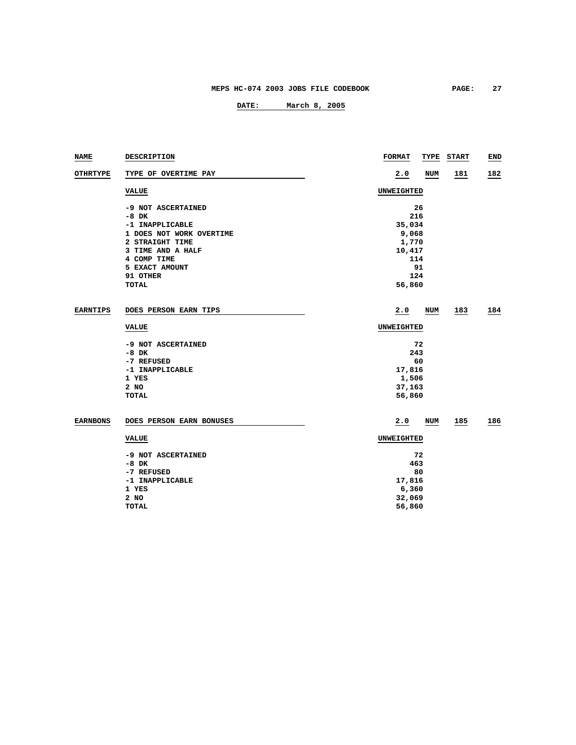| NAME            | DESCRIPTION              | <b>FORMAT</b>     | TYPE       | <b>START</b> | END |
|-----------------|--------------------------|-------------------|------------|--------------|-----|
| <b>OTHRTYPE</b> | TYPE OF OVERTIME PAY     | 2.0               | <b>NUM</b> | 181          | 182 |
|                 | <b>VALUE</b>             | UNWEIGHTED        |            |              |     |
|                 | -9 NOT ASCERTAINED       |                   | 26         |              |     |
|                 | $-8$ DK                  | 216               |            |              |     |
|                 | -1 INAPPLICABLE          | 35,034            |            |              |     |
|                 | 1 DOES NOT WORK OVERTIME | 9,068             |            |              |     |
|                 | 2 STRAIGHT TIME          | 1,770             |            |              |     |
|                 | 3 TIME AND A HALF        | 10,417            |            |              |     |
|                 | 4 COMP TIME              | 114               |            |              |     |
|                 | 5 EXACT AMOUNT           |                   | 91         |              |     |
|                 | 91 OTHER                 | 124               |            |              |     |
|                 | <b>TOTAL</b>             | 56,860            |            |              |     |
|                 |                          |                   |            |              |     |
| <b>EARNTIPS</b> | DOES PERSON EARN TIPS    | 2.0               | NUM        | 183          | 184 |
|                 | <b>VALUE</b>             | UNWEIGHTED        |            |              |     |
|                 | -9 NOT ASCERTAINED       |                   | 72         |              |     |
|                 | $-8$ DK                  | 243               |            |              |     |
|                 | -7 REFUSED               |                   | 60         |              |     |
|                 | -1 INAPPLICABLE          | 17,816            |            |              |     |
|                 | 1 YES                    | 1,506             |            |              |     |
|                 | 2 NO                     | 37,163            |            |              |     |
|                 | <b>TOTAL</b>             | 56,860            |            |              |     |
|                 |                          |                   |            |              |     |
| <b>EARNBONS</b> | DOES PERSON EARN BONUSES | 2.0               | NUM        | 185          | 186 |
|                 | <b>VALUE</b>             | <b>UNWEIGHTED</b> |            |              |     |
|                 | -9 NOT ASCERTAINED       |                   | 72         |              |     |
|                 | $-8$ DK                  | 463               |            |              |     |
|                 | -7 REFUSED               |                   | 80         |              |     |
|                 | -1 INAPPLICABLE          | 17,816            |            |              |     |
|                 | 1 YES                    | 6,360             |            |              |     |
|                 | 2 NO                     | 32,069            |            |              |     |
|                 | <b>TOTAL</b>             | 56,860            |            |              |     |
|                 |                          |                   |            |              |     |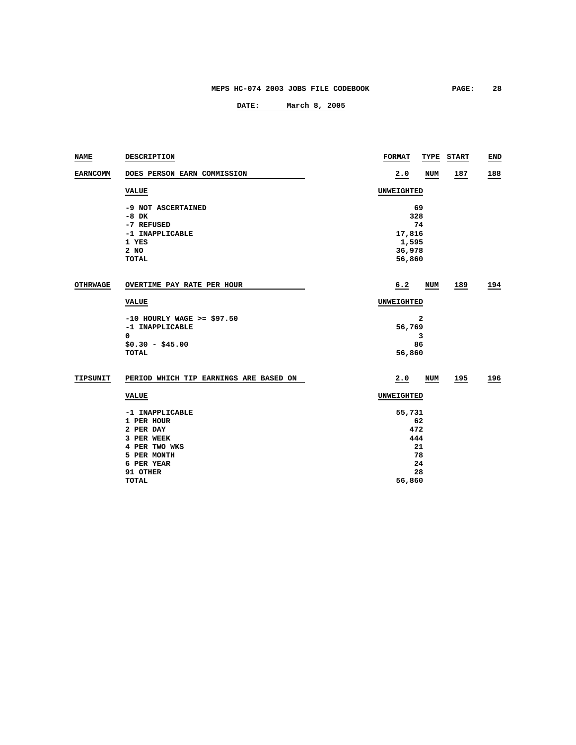| NAME            | DESCRIPTION                            | <b>FORMAT</b>     | TYPE | <b>START</b> | <b>END</b> |
|-----------------|----------------------------------------|-------------------|------|--------------|------------|
| <b>EARNCOMM</b> | DOES PERSON EARN COMMISSION            | 2.0               | NUM  | 187          | 188        |
|                 | <b>VALUE</b>                           | <b>UNWEIGHTED</b> |      |              |            |
|                 | -9 NOT ASCERTAINED                     |                   | 69   |              |            |
|                 | $-8$ DK                                |                   | 328  |              |            |
|                 | -7 REFUSED                             |                   | 74   |              |            |
|                 | -1 INAPPLICABLE                        | 17,816            |      |              |            |
|                 | 1 YES                                  | 1,595             |      |              |            |
|                 | 2 NO                                   | 36,978            |      |              |            |
|                 | <b>TOTAL</b>                           | 56,860            |      |              |            |
| <b>OTHRWAGE</b> | OVERTIME PAY RATE PER HOUR             | 6.2               | NUM  | 189          | 194        |
|                 | <b>VALUE</b>                           | UNWEIGHTED        |      |              |            |
|                 | $-10$ HOURLY WAGE >= \$97.50           |                   | 2    |              |            |
|                 | -1 INAPPLICABLE                        | 56,769            |      |              |            |
|                 | 0                                      |                   | 3    |              |            |
|                 | $$0.30 - $45.00$                       |                   | 86   |              |            |
|                 | <b>TOTAL</b>                           | 56,860            |      |              |            |
| TIPSUNIT        | PERIOD WHICH TIP EARNINGS ARE BASED ON | 2.0               | NUM  | 195          | 196        |
|                 | <b>VALUE</b>                           | UNWEIGHTED        |      |              |            |
|                 | -1 INAPPLICABLE                        | 55,731            |      |              |            |
|                 | 1 PER HOUR                             |                   | 62   |              |            |
|                 | 2 PER DAY                              |                   | 472  |              |            |
|                 | 3 PER WEEK                             | 444               |      |              |            |
|                 | 4 PER TWO WKS                          | 21                |      |              |            |
|                 | 5 PER MONTH                            | 78                |      |              |            |
|                 | 6 PER YEAR                             |                   | 24   |              |            |
|                 | 91 OTHER                               |                   | 28   |              |            |
|                 | <b>TOTAL</b>                           | 56,860            |      |              |            |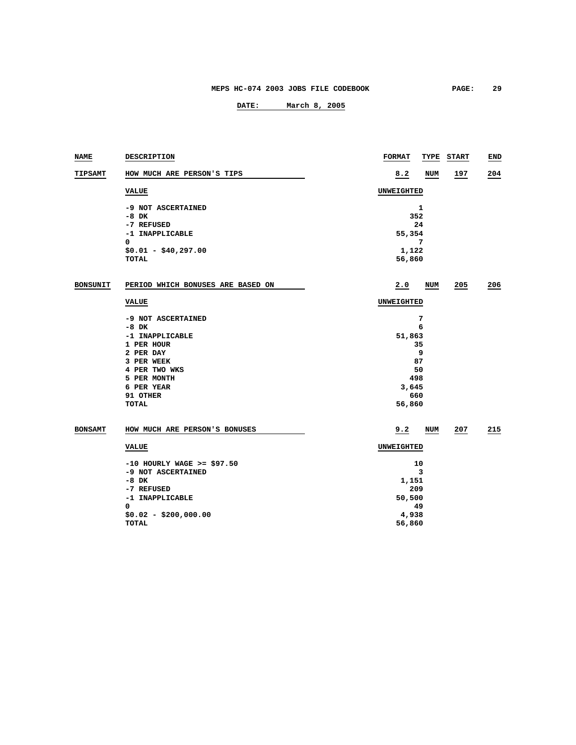| NAME            | DESCRIPTION                       | <b>FORMAT</b> |       | <b>TYPE START</b> | END |
|-----------------|-----------------------------------|---------------|-------|-------------------|-----|
| <b>TIPSAMT</b>  | HOW MUCH ARE PERSON'S TIPS        | 8.2           | NUM   | 197               | 204 |
|                 | <b>VALUE</b>                      | UNWEIGHTED    |       |                   |     |
|                 | -9 NOT ASCERTAINED                |               | 1     |                   |     |
|                 | $-8$ DK                           |               | 352   |                   |     |
|                 | -7 REFUSED                        |               | 24    |                   |     |
|                 | -1 INAPPLICABLE                   | 55,354        |       |                   |     |
|                 | 0                                 |               | 7     |                   |     |
|                 | $$0.01 - $40,297.00$              | 1,122         |       |                   |     |
|                 | TOTAL                             | 56,860        |       |                   |     |
| <b>BONSUNIT</b> | PERIOD WHICH BONUSES ARE BASED ON | 2.0           | NUM   | 205               | 206 |
|                 |                                   |               |       |                   |     |
|                 | <b>VALUE</b>                      | UNWEIGHTED    |       |                   |     |
|                 | -9 NOT ASCERTAINED                |               | 7     |                   |     |
|                 | $-8$ DK                           |               | 6     |                   |     |
|                 | -1 INAPPLICABLE                   | 51,863        |       |                   |     |
|                 | 1 PER HOUR                        |               | 35    |                   |     |
|                 | 2 PER DAY                         |               | 9     |                   |     |
|                 | 3 PER WEEK                        |               | 87    |                   |     |
|                 | 4 PER TWO WKS                     |               | 50    |                   |     |
|                 | 5 PER MONTH                       |               | 498   |                   |     |
|                 | 6 PER YEAR                        | 3,645         |       |                   |     |
|                 | 91 OTHER                          |               | 660   |                   |     |
|                 | <b>TOTAL</b>                      | 56,860        |       |                   |     |
| <b>BONSAMT</b>  | HOW MUCH ARE PERSON'S BONUSES     | 9.2           | NUM   | 207               | 215 |
|                 | <b>VALUE</b>                      | UNWEIGHTED    |       |                   |     |
|                 | $-10$ HOURLY WAGE >= \$97.50      | 10            |       |                   |     |
|                 | -9 NOT ASCERTAINED                |               | 3     |                   |     |
| $-8$ DK         |                                   |               | 1,151 |                   |     |
|                 | -7 REFUSED                        |               | 209   |                   |     |
|                 | -1 INAPPLICABLE                   | 50,500        |       |                   |     |
|                 | 0                                 |               | 49    |                   |     |
|                 | $$0.02 - $200,000.00$             | 4,938         |       |                   |     |
|                 | <b>TOTAL</b>                      | 56,860        |       |                   |     |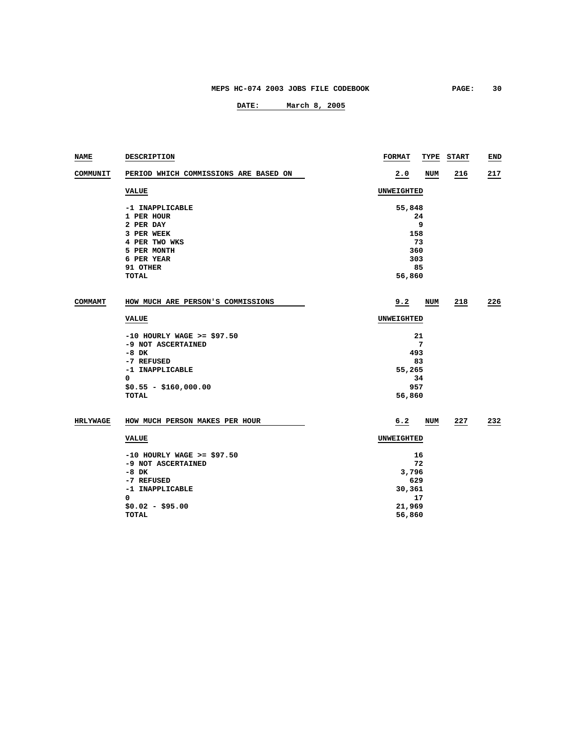| NAME            | <b>DESCRIPTION</b>                                 | <b>FORMAT</b>     | TYPE  | <b>START</b> | END |  |
|-----------------|----------------------------------------------------|-------------------|-------|--------------|-----|--|
| COMMUNIT        | PERIOD WHICH COMMISSIONS ARE BASED ON              | 2.0               | NUM   | 216          | 217 |  |
|                 | <b>VALUE</b>                                       | <b>UNWEIGHTED</b> |       |              |     |  |
|                 | -1 INAPPLICABLE                                    | 55,848            |       |              |     |  |
|                 | 1 PER HOUR                                         |                   | 24    |              |     |  |
|                 | 2 PER DAY                                          |                   | 9     |              |     |  |
|                 | 3 PER WEEK                                         | 158               |       |              |     |  |
|                 | 4 PER TWO WKS                                      |                   | 73    |              |     |  |
|                 | 5 PER MONTH                                        | 360               |       |              |     |  |
|                 | 6 PER YEAR                                         | 303               |       |              |     |  |
|                 | 91 OTHER                                           |                   | 85    |              |     |  |
|                 | TOTAL                                              | 56,860            |       |              |     |  |
| COMMAMT         | HOW MUCH ARE PERSON'S COMMISSIONS                  | 9.2               | NUM   | 218          | 226 |  |
|                 |                                                    |                   |       |              |     |  |
|                 | <b>VALUE</b>                                       | UNWEIGHTED        |       |              |     |  |
|                 | $-10$ HOURLY WAGE >= \$97.50                       |                   | 21    |              |     |  |
|                 | -9 NOT ASCERTAINED                                 |                   | 7     |              |     |  |
|                 | -8 DK                                              | 493               |       |              |     |  |
|                 | -7 REFUSED                                         |                   | 83    |              |     |  |
|                 | -1 INAPPLICABLE                                    | 55,265            |       |              |     |  |
|                 | 0                                                  |                   | 34    |              |     |  |
|                 | $$0.55 - $160,000.00$                              | 957               |       |              |     |  |
|                 | TOTAL                                              | 56,860            |       |              |     |  |
| <b>HRLYWAGE</b> | HOW MUCH PERSON MAKES PER HOUR                     | 6.2               | NUM   | 227          | 232 |  |
|                 | <b>VALUE</b>                                       | UNWEIGHTED        |       |              |     |  |
|                 |                                                    |                   |       |              |     |  |
|                 | $-10$ HOURLY WAGE >= \$97.50<br>-9 NOT ASCERTAINED |                   | 16    |              |     |  |
|                 |                                                    |                   | 72    |              |     |  |
|                 | $-8$ DK                                            |                   | 3,796 |              |     |  |
|                 | -7 REFUSED                                         | 629               |       |              |     |  |
|                 | -1 INAPPLICABLE<br>0                               | 30,361            |       |              |     |  |
|                 |                                                    |                   | 17    |              |     |  |
|                 | $$0.02 - $95.00$<br>TOTAL                          | 21,969            |       |              |     |  |
|                 |                                                    | 56,860            |       |              |     |  |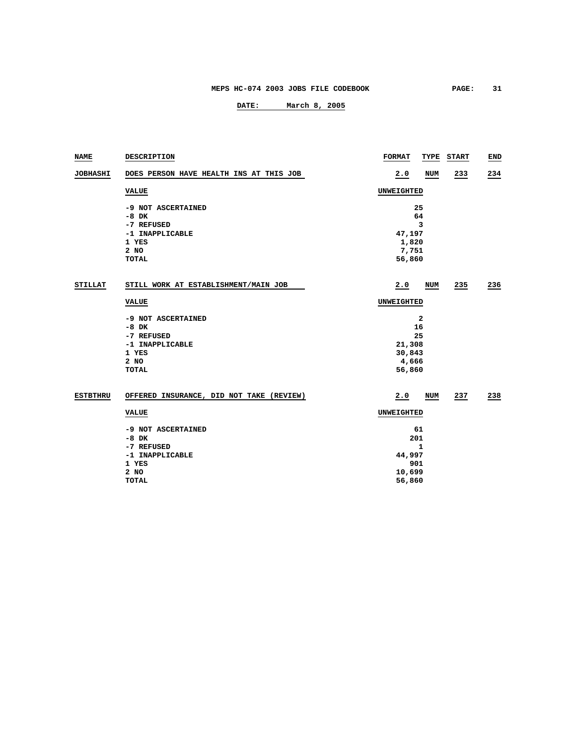| <b>NAME</b>     | DESCRIPTION                              | <b>FORMAT</b> | TYPE       | <b>START</b> | END |  |
|-----------------|------------------------------------------|---------------|------------|--------------|-----|--|
| <b>JOBHASHI</b> | DOES PERSON HAVE HEALTH INS AT THIS JOB  | 2.0           | <b>NUM</b> | 233          | 234 |  |
|                 | <b>VALUE</b>                             | UNWEIGHTED    |            |              |     |  |
|                 | -9 NOT ASCERTAINED                       |               | 25         |              |     |  |
|                 | $-8$ DK                                  |               | 64         |              |     |  |
|                 | -7 REFUSED                               |               | 3          |              |     |  |
|                 | -1 INAPPLICABLE                          | 47,197        |            |              |     |  |
|                 | 1 YES                                    | 1,820         |            |              |     |  |
|                 | 2 NO                                     | 7,751         |            |              |     |  |
|                 | TOTAL                                    | 56,860        |            |              |     |  |
| <b>STILLAT</b>  | STILL WORK AT ESTABLISHMENT/MAIN JOB     | 2.0           | NUM        | 235          | 236 |  |
|                 | <b>VALUE</b>                             | UNWEIGHTED    |            |              |     |  |
|                 | -9 NOT ASCERTAINED                       |               | 2          |              |     |  |
|                 | $-8$ DK                                  | 16            |            |              |     |  |
|                 | -7 REFUSED                               | 25            |            |              |     |  |
|                 | -1 INAPPLICABLE                          | 21,308        |            |              |     |  |
|                 | 1 YES                                    | 30,843        |            |              |     |  |
|                 | 2 NO                                     | 4,666         |            |              |     |  |
|                 | <b>TOTAL</b>                             | 56,860        |            |              |     |  |
| <b>ESTBTHRU</b> | OFFERED INSURANCE, DID NOT TAKE (REVIEW) | 2.0           | NUM        | 237          | 238 |  |
|                 | <b>VALUE</b>                             | UNWEIGHTED    |            |              |     |  |
|                 | -9 NOT ASCERTAINED                       | 61            |            |              |     |  |
|                 | $-8$ DK                                  |               | 201        |              |     |  |
|                 | -7 REFUSED                               | 1             |            |              |     |  |
|                 | -1 INAPPLICABLE                          | 44,997        |            |              |     |  |
|                 | 1 YES                                    | 901           |            |              |     |  |
|                 | 2 NO                                     | 10,699        |            |              |     |  |
|                 | TOTAL                                    | 56,860        |            |              |     |  |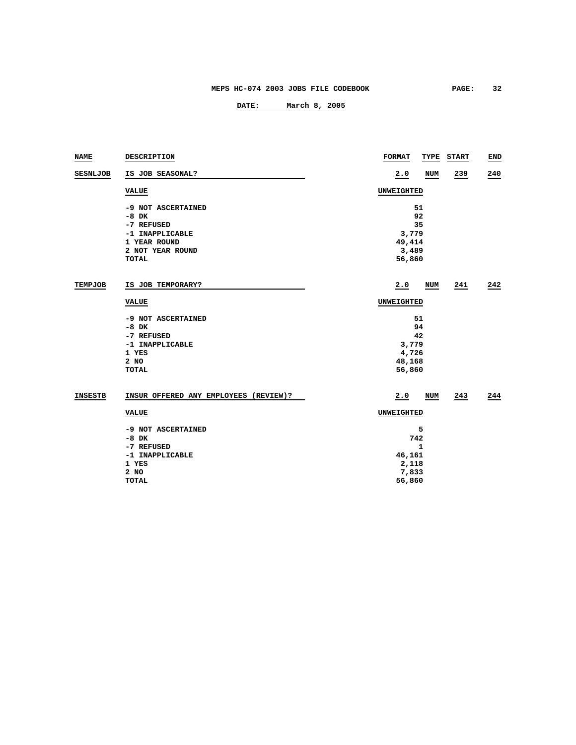| <b>NAME</b>     | DESCRIPTION                           | <b>FORMAT</b> | TYPE       | <b>START</b> | END |  |
|-----------------|---------------------------------------|---------------|------------|--------------|-----|--|
| <b>SESNLJOB</b> | IS JOB SEASONAL?                      | 2.0           | <b>NUM</b> | 239          | 240 |  |
|                 | <b>VALUE</b>                          | UNWEIGHTED    |            |              |     |  |
|                 | -9 NOT ASCERTAINED                    |               | 51         |              |     |  |
|                 | $-8$ DK                               |               | 92         |              |     |  |
|                 | -7 REFUSED                            |               | 35         |              |     |  |
|                 | -1 INAPPLICABLE                       | 3,779         |            |              |     |  |
|                 | 1 YEAR ROUND                          | 49,414        |            |              |     |  |
|                 | 2 NOT YEAR ROUND                      | 3,489         |            |              |     |  |
|                 | <b>TOTAL</b>                          | 56,860        |            |              |     |  |
| <b>TEMPJOB</b>  | IS JOB TEMPORARY?                     | 2.0           | NUM        | 241          | 242 |  |
|                 | <b>VALUE</b>                          | UNWEIGHTED    |            |              |     |  |
|                 | -9 NOT ASCERTAINED                    |               | 51         |              |     |  |
|                 | $-8$ DK                               |               | 94         |              |     |  |
|                 | -7 REFUSED                            |               | 42         |              |     |  |
|                 | -1 INAPPLICABLE                       | 3,779         |            |              |     |  |
|                 | 1 YES                                 | 4,726         |            |              |     |  |
|                 | 2 NO                                  | 48,168        |            |              |     |  |
|                 | TOTAL                                 | 56,860        |            |              |     |  |
| <b>INSESTB</b>  | INSUR OFFERED ANY EMPLOYEES (REVIEW)? | 2.0           | NUM        | 243          | 244 |  |
|                 | <b>VALUE</b>                          | UNWEIGHTED    |            |              |     |  |
|                 | -9 NOT ASCERTAINED                    | 5             |            |              |     |  |
|                 | $-8$ DK                               | 742           |            |              |     |  |
|                 | -7 REFUSED                            | 1             |            |              |     |  |
|                 | -1 INAPPLICABLE                       | 46,161        |            |              |     |  |
|                 | 1 YES                                 | 2,118         |            |              |     |  |
|                 | 2 NO                                  | 7,833         |            |              |     |  |
|                 | <b>TOTAL</b>                          | 56,860        |            |              |     |  |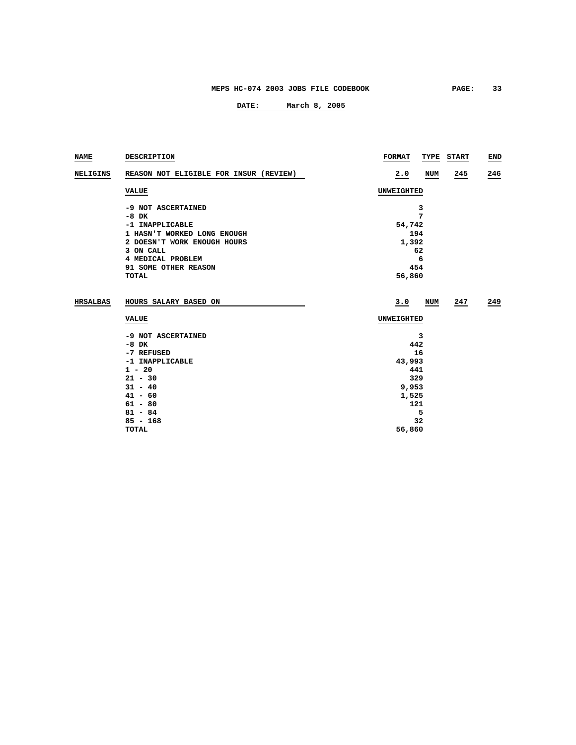| NAME            | <b>DESCRIPTION</b>                     | <b>FORMAT</b><br>TYPE<br><b>START</b> | END |  |
|-----------------|----------------------------------------|---------------------------------------|-----|--|
| <b>NELIGINS</b> | REASON NOT ELIGIBLE FOR INSUR (REVIEW) | 2.0<br>NUM<br>245                     | 246 |  |
|                 | <b>VALUE</b>                           | UNWEIGHTED                            |     |  |
|                 | -9 NOT ASCERTAINED                     | 3                                     |     |  |
|                 | $-8$ DK                                | 7                                     |     |  |
|                 | -1 INAPPLICABLE                        | 54,742                                |     |  |
|                 | 1 HASN'T WORKED LONG ENOUGH            | 194                                   |     |  |
|                 | 2 DOESN'T WORK ENOUGH HOURS            | 1,392                                 |     |  |
|                 | 3 ON CALL                              | 62                                    |     |  |
|                 | 4 MEDICAL PROBLEM                      | 6                                     |     |  |
|                 | 91 SOME OTHER REASON                   | 454                                   |     |  |
|                 | <b>TOTAL</b>                           | 56,860                                |     |  |
| <b>HRSALBAS</b> | HOURS SALARY BASED ON                  | 3.0<br>NUM<br>247                     | 249 |  |
|                 | <b>VALUE</b>                           | UNWEIGHTED                            |     |  |
|                 | -9 NOT ASCERTAINED                     | 3                                     |     |  |
|                 | $-8$ DK                                | 442                                   |     |  |
|                 | -7 REFUSED                             | 16                                    |     |  |
|                 | -1 INAPPLICABLE                        | 43,993                                |     |  |
|                 | $1 - 20$                               | 441                                   |     |  |
|                 | $21 - 30$                              | 329                                   |     |  |
|                 | $31 - 40$                              | 9,953                                 |     |  |
|                 | $41 - 60$                              | 1,525                                 |     |  |
|                 | $61 - 80$                              | 121                                   |     |  |
|                 | $81 - 84$                              | 5                                     |     |  |
|                 | $85 - 168$                             | 32                                    |     |  |
|                 | <b>TOTAL</b>                           | 56,860                                |     |  |